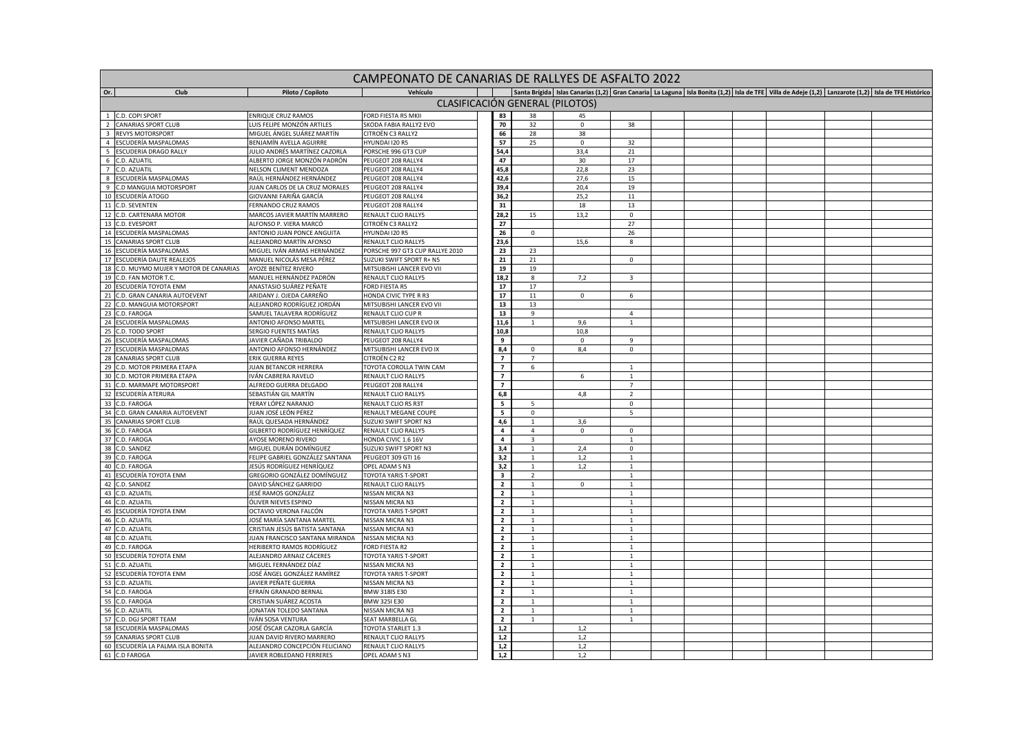|                         |                                                             |                                                      |                                                  | CAMPEONATO DE CANARIAS DE RALLYES DE ASFALTO 2022 |                                 |             |                                |  |  |  |  |  |                                                                                                                                                                    |
|-------------------------|-------------------------------------------------------------|------------------------------------------------------|--------------------------------------------------|---------------------------------------------------|---------------------------------|-------------|--------------------------------|--|--|--|--|--|--------------------------------------------------------------------------------------------------------------------------------------------------------------------|
| Or.                     | Club                                                        | Piloto / Copiloto                                    | Vehículo                                         |                                                   |                                 |             |                                |  |  |  |  |  | Santa Brígida   Islas Canarias (1,2)   Gran Canaria   La Laguna   Isla Bonita (1,2)   Isla de TFE   Villa de Adeje (1,2)   Lanzarote (1,2)   Isla de TFE Histórico |
|                         |                                                             |                                                      |                                                  |                                                   | CLASIFICACIÓN GENERAL (PILOTOS) |             |                                |  |  |  |  |  |                                                                                                                                                                    |
|                         | 1 C.D. COPI SPORT                                           | ENRIQUE CRUZ RAMOS                                   | FORD FIESTA R5 MKII                              | 83                                                | 38                              | 45          |                                |  |  |  |  |  |                                                                                                                                                                    |
| $\overline{2}$          | <b>CANARIAS SPORT CLUB</b>                                  | UIS FELIPE MONZÓN ARTILES                            | SKODA FABIA RALLY2 EVO                           | 70                                                | 32                              | $\mathsf 0$ | 38                             |  |  |  |  |  |                                                                                                                                                                    |
| $\overline{\mathbf{3}}$ | <b>REVYS MOTORSPORT</b>                                     | MIGUEL ÁNGEL SUÁREZ MARTÍN                           | CITROËN C3 RALLY2                                | 66                                                | 28                              | 38          |                                |  |  |  |  |  |                                                                                                                                                                    |
| $\overline{4}$          | ESCUDERÍA MASPALOMAS                                        | BENJAMÍN AVELLA AGUIRRE                              | HYUNDAI 120 R5                                   | 57                                                | 25                              | $\mathbf 0$ | 32                             |  |  |  |  |  |                                                                                                                                                                    |
| 5                       | <b>ESCUDERIA DRAGO RALLY</b>                                | JULIO ANDRÉS MARTÍNEZ CAZORLA                        | PORSCHE 996 GT3 CUP                              | 54,4                                              |                                 | 33,4        | 21                             |  |  |  |  |  |                                                                                                                                                                    |
| 6                       | C.D. AZUATIL                                                | ALBERTO JORGE MONZÓN PADRÓN                          | PEUGEOT 208 RALLY4                               | 47                                                |                                 | 30          | 17                             |  |  |  |  |  |                                                                                                                                                                    |
|                         | 7 C.D. AZUATIL                                              | NELSON CLIMENT MENDOZA                               | PEUGEOT 208 RALLY4                               | 45,8                                              |                                 | 22,8        | 23                             |  |  |  |  |  |                                                                                                                                                                    |
| 8                       | ESCUDERÍA MASPALOMAS                                        | RAÚL HERNÁNDEZ HERNÁNDEZ                             | PEUGEOT 208 RALLY4                               | 42,6                                              |                                 | 27,6        | 15                             |  |  |  |  |  |                                                                                                                                                                    |
| 9                       | C.D MANGUIA MOTORSPORT                                      | JUAN CARLOS DE LA CRUZ MORALES                       | PEUGEOT 208 RALLY4                               | 39,4                                              |                                 | 20.4        | 19                             |  |  |  |  |  |                                                                                                                                                                    |
| 10                      | <b>ESCUDERÍA ATOGO</b>                                      | GIOVANNI FARIÑA GARCÍA                               | PEUGEOT 208 RALLY4                               | 36,2                                              |                                 | 25,2        | $11\,$                         |  |  |  |  |  |                                                                                                                                                                    |
| 11                      | C.D. SEVENTEN                                               | FERNANDO CRUZ RAMOS                                  | PEUGEOT 208 RALLY4                               | ${\bf 31}$                                        |                                 | 18          | 13                             |  |  |  |  |  |                                                                                                                                                                    |
| 12                      | C.D. CARTENARA MOTOR                                        | MARCOS JAVIER MARTÍN MARRERO                         | RENAULT CLIO RALLY5                              | 28,2                                              | 15                              | 13,2        | $\mathbf 0$                    |  |  |  |  |  |                                                                                                                                                                    |
| 13                      | C.D. EVESPORT                                               | ALFONSO P. VIERA MARCÓ                               | CITROËN C3 RALLY2                                | 27                                                |                                 |             | 27                             |  |  |  |  |  |                                                                                                                                                                    |
|                         | 14 ESCUDERÍA MASPALOMAS                                     | ANTONIO JUAN PONCE ANGUITA                           | HYUNDAI 120 R5                                   | 26                                                | $\mathbf 0$                     |             | 26                             |  |  |  |  |  |                                                                                                                                                                    |
| 15                      | CANARIAS SPORT CLUB                                         | ALEJANDRO MARTÍN AFONSO                              | RENAULT CLIO RALLY5                              | 23,6                                              |                                 | 15,6        | 8                              |  |  |  |  |  |                                                                                                                                                                    |
|                         | 16 ESCUDERÍA MASPALOMAS                                     | MIGUEL IVÁN ARMAS HERNÁNDEZ                          | PORSCHE 997 GT3 CUP RALLYE 2010                  | 23                                                | 23                              |             |                                |  |  |  |  |  |                                                                                                                                                                    |
|                         | 17 ESCUDERÍA DAUTE REALEJOS                                 | MANUEL NICOLÁS MESA PÉREZ                            | SUZUKI SWIFT SPORT R+ N5                         | 21                                                | 21                              |             | $\mathbf 0$                    |  |  |  |  |  |                                                                                                                                                                    |
| 18<br>19                | C.D. MUYMO MUJER Y MOTOR DE CANARIAS<br>C.D. FAN MOTOR T.C. | AYOZE BENÍTEZ RIVERO<br>MANUEL HERNÁNDEZ PADRÓN      | MITSUBISHI LANCER EVO VII<br>RENAULT CLIO RALLY5 | 19<br>18,2                                        | 19<br>8                         | 7,2         | $\overline{\mathbf{3}}$        |  |  |  |  |  |                                                                                                                                                                    |
| 20                      | ESCUDERÍA TOYOTA ENM                                        | ANASTASIO SUÁREZ PEÑATE                              | FORD FIESTA R5                                   | ${\bf 17}$                                        | 17                              |             |                                |  |  |  |  |  |                                                                                                                                                                    |
| 21                      | C.D. GRAN CANARIA AUTOEVENT                                 | ARIDANY J. OJEDA CARREÑO                             | HONDA CIVIC TYPE R R3                            | 17                                                | 11                              | $\Omega$    | 6                              |  |  |  |  |  |                                                                                                                                                                    |
| 22                      | C.D. MANGUIA MOTORSPORT                                     | ALEJANDRO RODRÍGUEZ JORDÁN                           | MITSUBISHI LANCER EVO VII                        | 13                                                | 13                              |             |                                |  |  |  |  |  |                                                                                                                                                                    |
| 23                      | C.D. FAROGA                                                 | SAMUEL TALAVERA RODRÍGUEZ                            | RENAULT CLIO CUP R                               | 13                                                | 9                               |             | $\overline{4}$                 |  |  |  |  |  |                                                                                                                                                                    |
|                         | 24 ESCUDERÍA MASPALOMAS                                     | ANTONIO AFONSO MARTEL                                | MITSUBISHI LANCER EVO IX                         | 11,6                                              | $\mathbf{1}$                    | 9,6         | $\mathbf{1}$                   |  |  |  |  |  |                                                                                                                                                                    |
| 25                      | C.D. TODO SPORT                                             | SERGIO FUENTES MATÍAS                                | RENAULT CLIO RALLY5                              | 10,8                                              |                                 | 10.8        |                                |  |  |  |  |  |                                                                                                                                                                    |
| 26                      | ESCUDERÍA MASPALOMAS                                        | JAVIER CAÑADA TRIBALDO                               | PEUGEOT 208 RALLY4                               | 9                                                 |                                 | $\mathsf 0$ | 9                              |  |  |  |  |  |                                                                                                                                                                    |
|                         | 27 ESCUDERÍA MASPALOMAS                                     | ANTONIO AFONSO HERNÁNDEZ                             | MITSUBISHI LANCER EVO IX                         | 8,4                                               | $^{\circ}$                      | 8,4         | $\mathbf 0$                    |  |  |  |  |  |                                                                                                                                                                    |
| 28                      | <b>CANARIAS SPORT CLUB</b>                                  | ERIK GUERRA REYES                                    | CITROËN C2 R2                                    | $\overline{7}$                                    | $\overline{7}$                  |             |                                |  |  |  |  |  |                                                                                                                                                                    |
| 29                      | C.D. MOTOR PRIMERA ETAPA                                    | JUAN BETANCOR HERRERA                                | TOYOTA COROLLA TWIN CAM                          | $\overline{7}$                                    | 6                               |             |                                |  |  |  |  |  |                                                                                                                                                                    |
| 30                      | C.D. MOTOR PRIMERA ETAPA                                    | IVÁN CABRERA RAVELO                                  | RENAULT CLIO RALLY5                              | $\overline{7}$                                    |                                 | 6           | $\overline{1}$                 |  |  |  |  |  |                                                                                                                                                                    |
| 31                      | C.D. MARMAPE MOTORSPORT                                     | ALFREDO GUERRA DELGADO                               | PEUGEOT 208 RALLY4                               | $\overline{7}$                                    |                                 |             | $\overline{7}$                 |  |  |  |  |  |                                                                                                                                                                    |
|                         | 32 ESCUDERÍA ATERURA                                        | SEBASTIÁN GIL MARTÍN                                 | RENAULT CLIO RALLY5                              | 6,8                                               |                                 | 4.8         | $\overline{2}$                 |  |  |  |  |  |                                                                                                                                                                    |
| 33                      | C.D. FAROGA                                                 | YERAY LÓPEZ NARANJO                                  | RENAULT CLIO RS R3T                              | $\overline{\mathbf{5}}$                           | -5                              |             | $\mathsf 0$                    |  |  |  |  |  |                                                                                                                                                                    |
| 34<br>35                | C.D. GRAN CANARIA AUTOEVENT<br><b>CANARIAS SPORT CLUB</b>   | JUAN JOSÉ LEÓN PÉREZ<br>RAÚL QUESADA HERNÁNDEZ       | RENAULT MEGANE COUPE<br>SUZUKI SWIFT SPORT N3    | ${\bf 5}$                                         | $\mathbf 0$                     | 3,6         | 5                              |  |  |  |  |  |                                                                                                                                                                    |
| 36                      | C.D. FAROGA                                                 | GILBERTO RODRÍGUEZ HENRÍQUEZ                         | RENAULT CLIO RALLY5                              | 4,6<br>$\overline{a}$                             | $\overline{4}$                  | $\mathbf 0$ | $\mathsf 0$                    |  |  |  |  |  |                                                                                                                                                                    |
| 37                      | C.D. FAROGA                                                 | AYOSE MORENO RIVERO                                  | HONDA CIVIC 1.6 16V                              | $\overline{4}$                                    | 3                               |             | $\overline{1}$                 |  |  |  |  |  |                                                                                                                                                                    |
| 38                      | C.D. SANDEZ                                                 | MIGUEL DURÁN DOMÍNGUEZ                               | SUZUKI SWIFT SPORT N3                            | 3,4                                               | 1                               | 2,4         | $\mathbf 0$                    |  |  |  |  |  |                                                                                                                                                                    |
| 39                      | C.D. FAROGA                                                 | FELIPE GABRIEL GONZÁLEZ SANTANA                      | PEUGEOT 309 GTI 16                               | 3,2                                               | $\mathbf{1}$                    | 1,2         | $\overline{1}$                 |  |  |  |  |  |                                                                                                                                                                    |
| 40                      | C.D. FAROGA                                                 | JESÚS RODRÍGUEZ HENRÍQUEZ                            | OPEL ADAM S N3                                   | 3,2                                               | $\mathbf{1}$                    | 1,2         | <sup>1</sup>                   |  |  |  |  |  |                                                                                                                                                                    |
|                         | 41 ESCUDERÍA TOYOTA ENM                                     | GREGORIO GONZÁLEZ DOMÍNGUEZ                          | TOYOTA YARIS T-SPORT                             | $\mathbf{3}$                                      | 2                               |             | 1                              |  |  |  |  |  |                                                                                                                                                                    |
|                         | 42 C.D. SANDEZ                                              | DAVID SÁNCHEZ GARRIDO                                | RENAULT CLIO RALLY5                              | $\mathbf{2}$                                      | $\mathbf{1}$                    | $\mathbf 0$ | $\mathbf{1}$                   |  |  |  |  |  |                                                                                                                                                                    |
| 43                      | C.D. AZUATIL                                                | JESÉ RAMOS GONZÁLEZ                                  | NISSAN MICRA N3                                  | $\overline{2}$                                    | $\mathbf{1}$                    |             |                                |  |  |  |  |  |                                                                                                                                                                    |
| 44                      | C.D. AZUATIL                                                | ÓLIVER NIEVES ESPINO                                 | NISSAN MICRA N3                                  | $\overline{2}$                                    | $\mathbf{1}$                    |             | $\mathbf{1}$                   |  |  |  |  |  |                                                                                                                                                                    |
|                         | 45 ESCUDERÍA TOYOTA ENM                                     | OCTAVIO VERONA FALCÓN                                | TOYOTA YARIS T-SPORT                             | $\overline{2}$                                    | $\mathbf{1}$                    |             | 1                              |  |  |  |  |  |                                                                                                                                                                    |
| 46                      | C.D. AZUATIL                                                | JOSÉ MARÍA SANTANA MARTEL                            | NISSAN MICRA N3                                  | $\overline{2}$                                    | $\mathbf{1}$                    |             | $\overline{1}$                 |  |  |  |  |  |                                                                                                                                                                    |
| 47                      | C.D. AZUATIL                                                | CRISTIAN JESÚS BATISTA SANTANA                       | NISSAN MICRA N3                                  | $\overline{2}$                                    | $\mathbf 1$                     |             | $\mathbf{1}$                   |  |  |  |  |  |                                                                                                                                                                    |
| 48                      | C.D. AZUATIL                                                | JUAN FRANCISCO SANTANA MIRANDA                       | NISSAN MICRA N3                                  | $\overline{2}$                                    | $\mathbf{1}$                    |             | $\mathbf{1}$                   |  |  |  |  |  |                                                                                                                                                                    |
| 49                      | C.D. FAROGA                                                 | HERIBERTO RAMOS RODRÍGUEZ                            | FORD FIESTA R2                                   | $\overline{2}$                                    | $\mathbf{1}$                    |             | $\overline{1}$                 |  |  |  |  |  |                                                                                                                                                                    |
| 50                      | ESCUDERÍA TOYOTA ENM                                        | ALEJANDRO ARNAIZ CÁCERES                             | TOYOTA YARIS T-SPORT                             | $\overline{\mathbf{2}}$                           | $\mathbf{1}$                    |             | $\overline{1}$                 |  |  |  |  |  |                                                                                                                                                                    |
|                         | 51 C.D. AZUATIL<br>52 ESCUDERÍA TOYOTA ENM                  | MIGUEL FERNÁNDEZ DÍAZ<br>JOSÉ ÁNGEL GONZÁLEZ RAMÍREZ | NISSAN MICRA N3<br>TOYOTA YARIS T-SPORT          | $\mathbf{2}$<br>$\overline{2}$                    | $\mathbf{1}$                    |             | $\overline{1}$                 |  |  |  |  |  |                                                                                                                                                                    |
| 53                      | C.D. AZUATIL                                                | JAVIER PEÑATE GUERRA                                 | NISSAN MICRA N3                                  | $\overline{2}$                                    | $\mathbf{1}$<br>$\mathbf{1}$    |             | <sup>1</sup><br>$\overline{1}$ |  |  |  |  |  |                                                                                                                                                                    |
| 54                      | C.D. FAROGA                                                 | EFRAÍN GRANADO BERNAL                                | BMW 318IS E30                                    | $\overline{\mathbf{2}}$                           | $1\,$                           |             | $\mathbf{1}$                   |  |  |  |  |  |                                                                                                                                                                    |
| 55                      | C.D. FAROGA                                                 | CRISTIAN SUÁREZ ACOSTA                               | BMW 325I E30                                     | $\overline{2}$                                    | $\mathbf{1}$                    |             | $\overline{1}$                 |  |  |  |  |  |                                                                                                                                                                    |
| 56                      | C.D. AZUATIL                                                | JONATAN TOLEDO SANTANA                               | NISSAN MICRA N3                                  | $\mathbf{2}$                                      | $\mathbf{1}$                    |             | 1                              |  |  |  |  |  |                                                                                                                                                                    |
| 57                      | C.D. DGJ SPORT TEAM                                         | IVÁN SOSA VENTURA                                    | SEAT MARBELLA GL                                 | $\overline{2}$                                    |                                 |             | $\overline{1}$                 |  |  |  |  |  |                                                                                                                                                                    |
| 58                      | ESCUDERÍA MASPALOMAS                                        | OSÉ ÓSCAR CAZORLA GARCÍA                             | TOYOTA STARLET 1.3                               | 1,2                                               |                                 | 1,2         |                                |  |  |  |  |  |                                                                                                                                                                    |
| 59                      | <b>CANARIAS SPORT CLUB</b>                                  | JUAN DAVID RIVERO MARRERO                            | RENAULT CLIO RALLY5                              | 1,2                                               |                                 | 1,2         |                                |  |  |  |  |  |                                                                                                                                                                    |
| 60                      | ESCUDERÍA LA PALMA ISLA BONITA                              | ALEJANDRO CONCEPCIÓN FELICIANO                       | RENAULT CLIO RALLY5                              | 1,2                                               |                                 | 1,2         |                                |  |  |  |  |  |                                                                                                                                                                    |
|                         | 61 C.D FAROGA                                               | JAVIER ROBLEDANO FERRERES                            | OPEL ADAM S N3                                   | $1.2$                                             |                                 | 1,2         |                                |  |  |  |  |  |                                                                                                                                                                    |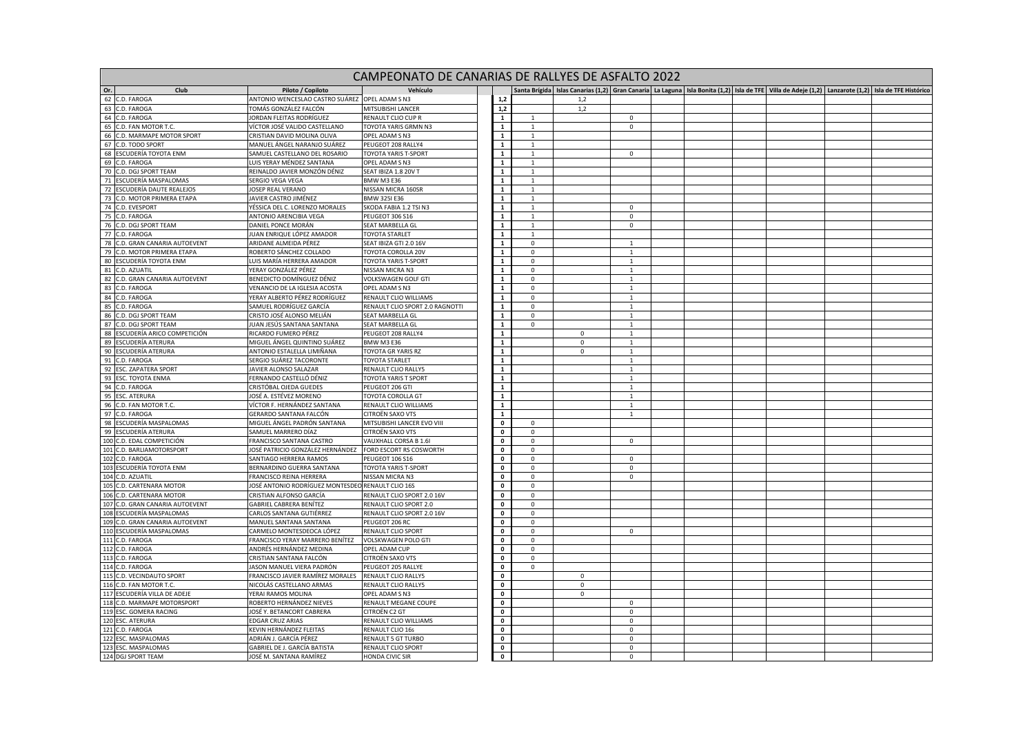| CAMPEONATO DE CANARIAS DE RALLYES DE ASFALTO 2022<br>Santa Brígida   Islas Canarias (1,2)   Gran Canaria   La Laguna   Isla Bonita (1,2)   Isla de TFE   Villa de Adeie (1,2)   Lanzarote (1,2)   Isla de TFE Histórico |                                                  |                                             |                               |                              |                         |                   |  |  |  |  |  |  |  |
|-------------------------------------------------------------------------------------------------------------------------------------------------------------------------------------------------------------------------|--------------------------------------------------|---------------------------------------------|-------------------------------|------------------------------|-------------------------|-------------------|--|--|--|--|--|--|--|
| Or.<br>Club                                                                                                                                                                                                             | Piloto / Copiloto                                |                                             |                               |                              |                         |                   |  |  |  |  |  |  |  |
| 62 C.D. FAROGA                                                                                                                                                                                                          | ANTONIO WENCESLAO CASTRO SUÁREZ OPEL ADAM S N3   |                                             | 1,2                           |                              | 1,2                     |                   |  |  |  |  |  |  |  |
| 63 C.D. FAROGA                                                                                                                                                                                                          | OMÁS GONZÁLEZ FALCÓN                             | MITSUBISHI LANCER                           | 1,2                           |                              | 1,2                     |                   |  |  |  |  |  |  |  |
| 64 C.D. FAROGA                                                                                                                                                                                                          | IORDAN FLEITAS RODRÍGUEZ                         | <b>RENAULT CLIO CUP R</b>                   | $\mathbf{1}$                  | $\overline{1}$               |                         | $^{\circ}$        |  |  |  |  |  |  |  |
| 65 C.D. FAN MOTOR T.C.                                                                                                                                                                                                  | VÍCTOR JOSÉ VALIDO CASTELLANO                    | TOYOTA YARIS GRMN N3                        | $\mathbf{1}$                  | $1\,$                        |                         | $\mathbf 0$       |  |  |  |  |  |  |  |
| 66 C.D. MARMAPE MOTOR SPORT                                                                                                                                                                                             | CRISTIAN DAVID MOLINA OLIVA                      | OPEL ADAM S N3                              | $\mathbf{1}$                  | $\mathbf{1}$                 |                         |                   |  |  |  |  |  |  |  |
| 67 C.D. TODO SPORT                                                                                                                                                                                                      | MANUEL ÁNGEL NARANJO SUÁREZ                      | PEUGEOT 208 RALLY4                          | $\mathbf{1}$                  | $\mathbf{1}$                 |                         |                   |  |  |  |  |  |  |  |
| 68 ESCUDERÍA TOYOTA ENM                                                                                                                                                                                                 | SAMUEL CASTELLANO DEL ROSARIO                    | <b>TOYOTA YARIS T-SPORT</b>                 | $\mathbf 1$                   | $\overline{1}$               |                         | $\mathbf 0$       |  |  |  |  |  |  |  |
| 69 C.D. FAROGA                                                                                                                                                                                                          | LUIS YERAY MÉNDEZ SANTANA                        | OPEL ADAM S N3                              | $\mathbf 1$                   | $\mathbf{1}$                 |                         |                   |  |  |  |  |  |  |  |
| 70 C.D. DGJ SPORT TEAM                                                                                                                                                                                                  | REINALDO JAVIER MONZÓN DÉNIZ                     | SEAT IBIZA 1.8 20V T                        | $\overline{1}$                | $\overline{1}$               |                         |                   |  |  |  |  |  |  |  |
| 71 ESCUDERÍA MASPALOMAS<br>72 ESCUDERÍA DAUTE REALEJOS                                                                                                                                                                  | SERGIO VEGA VEGA<br><b>OSEP REAL VERANO</b>      | <b>BMW M3 E36</b><br>NISSAN MICRA 160SR     | $\mathbf{1}$<br>$\mathbf 1$   | $\mathbf{1}$<br>$\mathbf{1}$ |                         |                   |  |  |  |  |  |  |  |
| 73 C.D. MOTOR PRIMERA ETAPA                                                                                                                                                                                             | JAVIER CASTRO JIMÉNEZ                            | BMW 325I E36                                | $\mathbf 1$                   | $\mathbf{1}$                 |                         |                   |  |  |  |  |  |  |  |
| 74 C.D. EVESPORT                                                                                                                                                                                                        | YÉSSICA DEL C. LORENZO MORALES                   | SKODA FABIA 1.2 TSI N3                      | $\mathbf 1$                   | $\overline{1}$               |                         | $\mathbf 0$       |  |  |  |  |  |  |  |
| 75 C.D. FAROGA                                                                                                                                                                                                          | ANTONIO ARENCIBIA VEGA                           | PEUGEOT 306 S16                             | $\mathbf{1}$                  | $\mathbf{1}$                 |                         | $\mathsf 0$       |  |  |  |  |  |  |  |
| 76 C.D. DGJ SPORT TEAM                                                                                                                                                                                                  | DANIEL PONCE MORÁN                               | SEAT MARBELLA GL                            | $\mathbf 1$                   | $\mathbf{1}$                 |                         | $\mathsf 0$       |  |  |  |  |  |  |  |
| 77 C.D. FAROGA                                                                                                                                                                                                          | IUAN ENRIQUE LÓPEZ AMADOR                        | <b>TOYOTA STARLET</b>                       | $\mathbf 1$                   | $\mathbf{1}$                 |                         |                   |  |  |  |  |  |  |  |
| 78 C.D. GRAN CANARIA AUTOEVENT                                                                                                                                                                                          | ARIDANE ALMEIDA PÉREZ                            | SEAT IBIZA GTI 2.0 16V                      | $\mathbf{1}$                  | $\mathbf 0$                  |                         | 1                 |  |  |  |  |  |  |  |
| 79 C.D. MOTOR PRIMERA ETAPA                                                                                                                                                                                             | ROBERTO SÁNCHEZ COLLADO                          | TOYOTA COROLLA 20V                          | $\mathbf 1$                   | $\mathsf{O}\xspace$          |                         | $\overline{1}$    |  |  |  |  |  |  |  |
| 80 ESCUDERÍA TOYOTA ENM                                                                                                                                                                                                 | LUIS MARÍA HERRERA AMADOR                        | TOYOTA YARIS T-SPORT                        | $\mathbf 1$                   | $\mathsf 0$                  |                         | $\mathbf{1}$      |  |  |  |  |  |  |  |
| 81 C.D. AZUATIL                                                                                                                                                                                                         | YERAY GONZÁLEZ PÉREZ                             | NISSAN MICRA N3                             | $\overline{1}$                | $\mathbf{0}$                 |                         | 1                 |  |  |  |  |  |  |  |
| 82 C.D. GRAN CANARIA AUTOEVENT                                                                                                                                                                                          | BENEDICTO DOMÍNGUEZ DÉNIZ                        | VOLKSWAGEN GOLF GTI                         | $\mathbf{1}$                  | $\mathbf 0$                  |                         | 1                 |  |  |  |  |  |  |  |
| 83 C.D. FAROGA                                                                                                                                                                                                          | VENANCIO DE LA IGLESIA ACOSTA                    | OPEL ADAM S N3                              | $\mathbf{1}$                  | $\mathsf 0$                  |                         | $\overline{1}$    |  |  |  |  |  |  |  |
| 84 C.D. FAROGA                                                                                                                                                                                                          | YERAY ALBERTO PÉREZ RODRÍGUEZ                    | RENAULT CLIO WILLIAMS                       | $\overline{1}$                | $\mathbf 0$                  |                         | $\overline{1}$    |  |  |  |  |  |  |  |
| 85 C.D. FAROGA                                                                                                                                                                                                          | SAMUEL RODRÍGUEZ GARCÍA                          | RENAULT CLIO SPORT 2.0 RAGNOTTI             | $\mathbf{1}$                  | $\mathbf 0$                  |                         | 1                 |  |  |  |  |  |  |  |
| 86 C.D. DGJ SPORT TEAM                                                                                                                                                                                                  | CRISTO JOSÉ ALONSO MELIÁN                        | SEAT MARBELLA GL                            | $\mathbf{1}$                  | $\mathbf 0$                  |                         | $\mathbf{1}$      |  |  |  |  |  |  |  |
| 87 C.D. DGJ SPORT TEAM                                                                                                                                                                                                  | IUAN JESÚS SANTANA SANTANA                       | SEAT MARBELLA GL                            | $\mathbf 1$                   | $\mathbf 0$                  |                         | $\overline{1}$    |  |  |  |  |  |  |  |
| 88 ESCUDERÍA ARICO COMPETICIÓN                                                                                                                                                                                          | RICARDO FUMERO PÉREZ                             | PEUGEOT 208 RALLY4                          | $\overline{1}$                |                              | $\mathbf 0$             | $\mathbf{1}$      |  |  |  |  |  |  |  |
| 89 ESCUDERÍA ATERURA                                                                                                                                                                                                    | MIGUEL ÁNGEL QUINTINO SUÁREZ                     | <b>BMW M3 E36</b>                           | $\mathbf 1$                   |                              | $\mathsf 0$             | 1                 |  |  |  |  |  |  |  |
| 90 ESCUDERÍA ATERURA                                                                                                                                                                                                    | ANTONIO ESTALELLA LIMIÑANA                       | TOYOTA GR YARIS RZ                          | $\mathbf 1$                   |                              | $\Omega$                | $\mathbf{1}$      |  |  |  |  |  |  |  |
| 91 C.D. FAROGA                                                                                                                                                                                                          | SERGIO SUÁREZ TACORONTE                          | <b>TOYOTA STARLET</b>                       | $\mathbf 1$                   |                              |                         | $\mathbf{1}$      |  |  |  |  |  |  |  |
| 92 ESC. ZAPATERA SPORT                                                                                                                                                                                                  | <b>AVIER ALONSO SALAZAR</b>                      | RENAULT CLIO RALLY5                         | $\mathbf 1$                   |                              |                         | $\overline{1}$    |  |  |  |  |  |  |  |
| 93 ESC. TOYOTA ENMA                                                                                                                                                                                                     | FERNANDO CASTELLÓ DÉNIZ                          | TOYOTA YARIS T SPORT                        | $\mathbf{1}$                  |                              |                         | $\overline{1}$    |  |  |  |  |  |  |  |
| 94 C.D. FAROGA<br>95 ESC. ATERURA                                                                                                                                                                                       | CRISTÓBAL OJEDA GUEDES<br>IOSÉ A. ESTÉVEZ MORENO | PEUGEOT 206 GTI<br><b>TOYOTA COROLLA GT</b> | $\mathbf 1$<br>$\overline{1}$ |                              |                         | $\mathbf{1}$      |  |  |  |  |  |  |  |
| 96 C.D. FAN MOTOR T.C.                                                                                                                                                                                                  | VÍCTOR F. HERNÁNDEZ SANTANA                      | RENAULT CLIO WILLIAMS                       | $\mathbf 1$                   |                              |                         | $\mathbf{1}$      |  |  |  |  |  |  |  |
| 97 C.D. FAROGA                                                                                                                                                                                                          | GERARDO SANTANA FALCÓN                           | <b>CITROËN SAXO VTS</b>                     | $\mathbf 1$                   |                              |                         | 1<br>$\mathbf{1}$ |  |  |  |  |  |  |  |
| 98 ESCUDERÍA MASPALOMAS                                                                                                                                                                                                 | MIGUEL ÁNGEL PADRÓN SANTANA                      | MITSUBISHI LANCER EVO VIII                  | $\mathbf 0$                   | $\Omega$                     |                         |                   |  |  |  |  |  |  |  |
| 99 ESCUDERÍA ATERURA                                                                                                                                                                                                    | SAMUEL MARRERO DÍAZ                              | CITROËN SAXO VTS                            | $\pmb{0}$                     | $\mathbf 0$                  |                         |                   |  |  |  |  |  |  |  |
| 100 C.D. EDAL COMPETICIÓN                                                                                                                                                                                               | FRANCISCO SANTANA CASTRO                         | VAUXHALL CORSA B 1.6I                       | $\mathbf 0$                   | $\mathbf 0$                  |                         | $\mathbf 0$       |  |  |  |  |  |  |  |
| 101 C.D. BARLIAMOTORSPORT                                                                                                                                                                                               | IOSÉ PATRICIO GONZÁLEZ HERNÁNDEZ                 | FORD ESCORT RS COSWORTH                     | $\pmb{\mathsf{o}}$            | $\mathbf{0}$                 |                         |                   |  |  |  |  |  |  |  |
| 102 C.D. FAROGA                                                                                                                                                                                                         | SANTIAGO HERRERA RAMOS                           | <b>PEUGEOT 106 S16</b>                      | $\pmb{0}$                     | $\mathsf 0$                  |                         | $\mathbf 0$       |  |  |  |  |  |  |  |
| 103 ESCUDERÍA TOYOTA ENM                                                                                                                                                                                                | BERNARDINO GUERRA SANTANA                        | TOYOTA YARIS T-SPORT                        | $\pmb{0}$                     | $\mathsf 0$                  |                         | $\mathsf 0$       |  |  |  |  |  |  |  |
| 104 C.D. AZUATIL                                                                                                                                                                                                        | FRANCISCO REINA HERRERA                          | NISSAN MICRA N3                             | $\pmb{0}$                     | $\mathbf{0}$                 |                         | $\mathbf 0$       |  |  |  |  |  |  |  |
| 105 C.D. CARTENARA MOTOR                                                                                                                                                                                                | OSÉ ANTONIO RODRÍGUEZ MONTESDEO RENAULT CLIO 16S |                                             | $\pmb{0}$                     | $\mathsf 0$                  |                         |                   |  |  |  |  |  |  |  |
| 106 C.D. CARTENARA MOTOR                                                                                                                                                                                                | CRISTIAN ALFONSO GARCÍA                          | RENAULT CLIO SPORT 2.0 16V                  | $\pmb{0}$                     | $\mathsf 0$                  |                         |                   |  |  |  |  |  |  |  |
| 107 C.D. GRAN CANARIA AUTOEVENT                                                                                                                                                                                         | <b>GABRIEL CABRERA BENÍTEZ</b>                   | RENAULT CLIO SPORT 2.0                      | $\mathbf 0$                   | $\circ$                      |                         |                   |  |  |  |  |  |  |  |
| 108 ESCUDERÍA MASPALOMAS                                                                                                                                                                                                | CARLOS SANTANA GUTIÉRREZ                         | RENAULT CLIO SPORT 2.0 16V                  | $\pmb{0}$                     | $\mathbf 0$                  |                         |                   |  |  |  |  |  |  |  |
| 109 C.D. GRAN CANARIA AUTOEVENT                                                                                                                                                                                         | MANUEL SANTANA SANTANA                           | PEUGEOT 206 RC                              | $\pmb{0}$                     | $\mathsf 0$                  |                         |                   |  |  |  |  |  |  |  |
| 110 ESCUDERÍA MASPALOMAS                                                                                                                                                                                                | CARMELO MONTESDEOCA LÓPEZ                        | <b>RENAULT CLIO SPORT</b>                   | $\pmb{0}$                     | $\circ$                      |                         | $\mathbf{0}$      |  |  |  |  |  |  |  |
| 111 C.D. FAROGA                                                                                                                                                                                                         | FRANCISCO YERAY MARRERO BENÍTEZ                  | VOLSKWAGEN POLO GTI                         | $\mathbf 0$                   | $\mathbf 0$                  |                         |                   |  |  |  |  |  |  |  |
| 112 C.D. FAROGA                                                                                                                                                                                                         | ANDRÉS HERNÁNDEZ MEDINA                          | OPEL ADAM CUP                               | $\pmb{0}$                     | $\mathbf{0}$                 |                         |                   |  |  |  |  |  |  |  |
| 113 C.D. FAROGA                                                                                                                                                                                                         | CRISTIAN SANTANA FALCÓN                          | CITROËN SAXO VTS                            | 0                             | $\mathbf 0$                  |                         |                   |  |  |  |  |  |  |  |
| 114 C.D. FAROGA                                                                                                                                                                                                         | IASON MANUEL VIERA PADRÓN                        | PEUGEOT 205 RALLYE                          | $\pmb{0}$                     | $\mathbf 0$                  |                         |                   |  |  |  |  |  |  |  |
| 115 C.D. VECINDAUTO SPORT                                                                                                                                                                                               | FRANCISCO JAVIER RAMÍREZ MORALES                 | <b>RENAULT CLIO RALLY5</b>                  | $\mathbf 0$                   |                              | $\Omega$<br>$\mathbf 0$ |                   |  |  |  |  |  |  |  |
| 116 C.D. FAN MOTOR T.C.<br>117 ESCUDERÍA VILLA DE ADEJE                                                                                                                                                                 | NICOLÁS CASTELLANO ARMAS<br>YERAI RAMOS MOLINA   | RENAULT CLIO RALLY5<br>OPEL ADAM S N3       | $\pmb{0}$<br>$\pmb{0}$        |                              |                         |                   |  |  |  |  |  |  |  |
| 118 C.D. MARMAPE MOTORSPORT                                                                                                                                                                                             | ROBERTO HERNÁNDEZ NIEVES                         | RENAULT MEGANE COUPE                        | $\pmb{0}$                     |                              | $\mathbf 0$             | $\mathbf 0$       |  |  |  |  |  |  |  |
| 119 ESC. GOMERA RACING                                                                                                                                                                                                  | IOSÉ Y. BETANCORT CABRERA                        | CITROËN C2 GT                               | $\pmb{0}$                     |                              |                         | $\mathbf 0$       |  |  |  |  |  |  |  |
| 120 ESC. ATERURA                                                                                                                                                                                                        | EDGAR CRUZ ARIAS                                 | RENAULT CLIO WILLIAMS                       | $\pmb{0}$                     |                              |                         | $\mathbf 0$       |  |  |  |  |  |  |  |
| 121 C.D. FAROGA                                                                                                                                                                                                         | KEVIN HERNÁNDEZ FLEITAS                          | RENAULT CLIO 16s                            | $\mathbf 0$                   |                              |                         | $\Omega$          |  |  |  |  |  |  |  |
| 122 ESC. MASPALOMAS                                                                                                                                                                                                     | ADRIÁN J. GARCÍA PÉREZ                           | <b>RENAULT 5 GT TURBO</b>                   | $\pmb{0}$                     |                              |                         | $\mathbf 0$       |  |  |  |  |  |  |  |
| 123 ESC. MASPALOMAS                                                                                                                                                                                                     | GABRIEL DE J. GARCÍA BATISTA                     | RENAULT CLIO SPORT                          | $\pmb{0}$                     |                              |                         | $\mathbf 0$       |  |  |  |  |  |  |  |
| 124 DGJ SPORT TEAM                                                                                                                                                                                                      | JOSÉ M. SANTANA RAMÍREZ                          | <b>HONDA CIVIC SIR</b>                      | $\mathbf{0}$                  |                              |                         | $\Omega$          |  |  |  |  |  |  |  |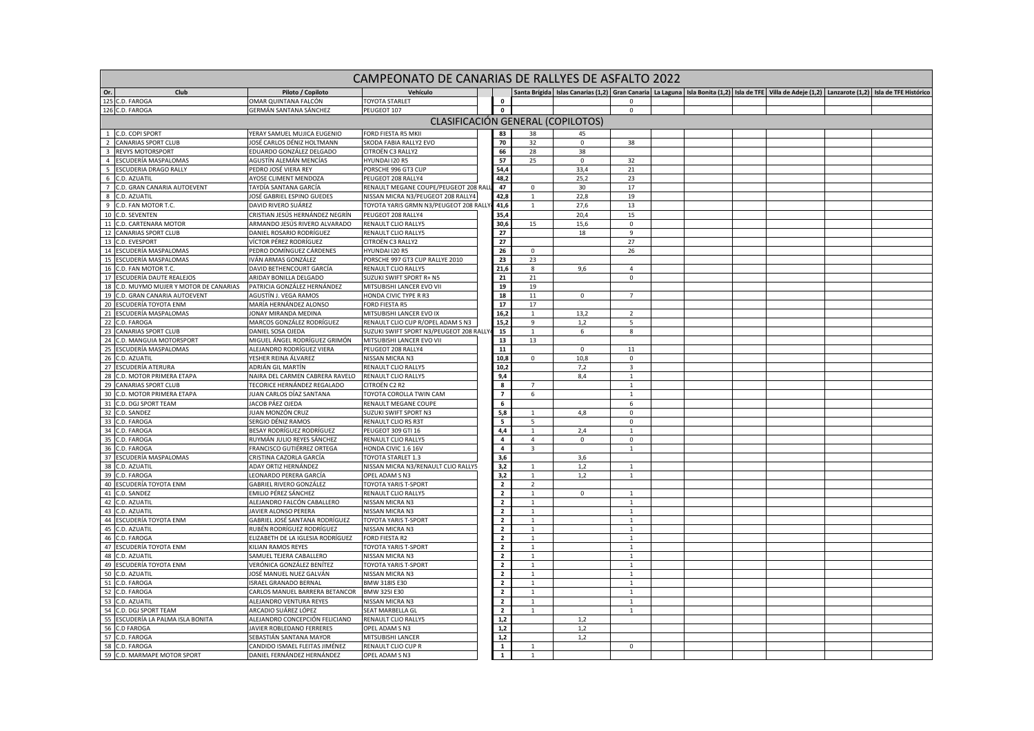| CAMPEONATO DE CANARIAS DE RALLYES DE ASFALTO 2022<br>Santa Brígida   Islas Canarias (1,2)   Gran Canaria   La Laguna   Isla Bonita (1,2)   Isla de TFE   Villa de Adeie (1,2)   Lanzarote (1,2)   Isla de TFE Histórico |                                                         |                                                 |  |                                   |                |             |                         |  |  |  |  |  |  |
|-------------------------------------------------------------------------------------------------------------------------------------------------------------------------------------------------------------------------|---------------------------------------------------------|-------------------------------------------------|--|-----------------------------------|----------------|-------------|-------------------------|--|--|--|--|--|--|
| Club<br>Or.                                                                                                                                                                                                             | Piloto / Copiloto                                       | Vehículo                                        |  |                                   |                |             |                         |  |  |  |  |  |  |
| 125 C.D. FAROGA                                                                                                                                                                                                         | )MAR QUINTANA FALCÓN                                    | <b>TOYOTA STARLET</b>                           |  | $\mathbf 0$                       |                |             | $\Omega$                |  |  |  |  |  |  |
| 126 C.D. FAROGA                                                                                                                                                                                                         | GERMÁN SANTANA SÁNCHEZ                                  | PEUGEOT 107                                     |  | $\mathbf 0$                       |                |             | $\mathbf 0$             |  |  |  |  |  |  |
|                                                                                                                                                                                                                         |                                                         |                                                 |  | CLASIFICACIÓN GENERAL (COPILOTOS) |                |             |                         |  |  |  |  |  |  |
| 1 C.D. COPI SPORT                                                                                                                                                                                                       | YERAY SAMUEL MUJICA EUGENIO                             | FORD FIESTA R5 MKII                             |  | 83                                | 38             | 45          |                         |  |  |  |  |  |  |
| 2 CANARIAS SPORT CLUB                                                                                                                                                                                                   | JOSÉ CARLOS DÉNIZ HOLTMANN                              | SKODA FABIA RALLY2 EVO                          |  | 70                                | 32             | $\mathbf 0$ | 38                      |  |  |  |  |  |  |
| 3 REVYS MOTORSPORT                                                                                                                                                                                                      | EDUARDO GONZÁLEZ DELGADO                                | CITROËN C3 RALLY2                               |  | 66                                | 28             | 38          |                         |  |  |  |  |  |  |
| 4 ESCUDERÍA MASPALOMAS                                                                                                                                                                                                  | AGUSTÍN ALEMÁN MENCÍAS                                  | HYUNDAI 120 R5                                  |  | 57                                | 25             | $\mathbf 0$ | 32                      |  |  |  |  |  |  |
| 5 ESCUDERIA DRAGO RALLY                                                                                                                                                                                                 | PEDRO JOSÉ VIERA REY                                    | PORSCHE 996 GT3 CUP                             |  | 54,4                              |                | 33,4        | 21                      |  |  |  |  |  |  |
| 6<br>C.D. AZUATIL                                                                                                                                                                                                       | <b>AYOSE CLIMENT MENDOZA</b>                            | PEUGEOT 208 RALLY4                              |  | 48,2                              |                | 25,2        | 23                      |  |  |  |  |  |  |
| 7 C.D. GRAN CANARIA AUTOEVENT                                                                                                                                                                                           | TAYDÍA SANTANA GARCÍA                                   | RENAULT MEGANE COUPE/PEUGEOT 208 RAI            |  | 47                                | $\mathbf 0$    | 30          | 17                      |  |  |  |  |  |  |
| 8 C.D. AZUATIL                                                                                                                                                                                                          | JOSÉ GABRIEL ESPINO GUEDES                              | NISSAN MICRA N3/PEUGEOT 208 RALLY4              |  | 42,8                              | $\mathbf{1}$   | 22,8        | 19                      |  |  |  |  |  |  |
| 9 C.D. FAN MOTOR T.C.                                                                                                                                                                                                   | DAVID RIVERO SUÁREZ                                     | TOYOTA YARIS GRMN N3/PEUGEOT 208 RALL'          |  | 41,6                              | $\mathbf{1}$   | 27,6        | 13                      |  |  |  |  |  |  |
| 10 C.D. SEVENTEN                                                                                                                                                                                                        | CRISTIAN JESÚS HERNÁNDEZ NEGRÍN                         | PEUGEOT 208 RALLY4                              |  | 35,4                              |                | 20,4        | 15                      |  |  |  |  |  |  |
| 11 C.D. CARTENARA MOTOR                                                                                                                                                                                                 | ARMANDO JESÚS RIVERO ALVARADO                           | RENAULT CLIO RALLY5                             |  | 30,6                              | 15             | 15,6        | $\mathsf 0$             |  |  |  |  |  |  |
| 12 CANARIAS SPORT CLUB                                                                                                                                                                                                  | DANIEL ROSARIO RODRÍGUEZ                                | RENAULT CLIO RALLY5                             |  | 27                                |                | 18          | $\overline{9}$          |  |  |  |  |  |  |
| 13 C.D. EVESPORT                                                                                                                                                                                                        | VÍCTOR PÉREZ RODRÍGUEZ                                  | CITROËN C3 RALLY2                               |  | 27                                |                |             | 27                      |  |  |  |  |  |  |
| 14 ESCUDERÍA MASPALOMAS                                                                                                                                                                                                 | PEDRO DOMÍNGUEZ CÁRDENES                                | HYUNDAI 120 R5                                  |  | 26                                | $\mathbf 0$    |             | 26                      |  |  |  |  |  |  |
| 15 ESCUDERÍA MASPALOMAS                                                                                                                                                                                                 | VÁN ARMAS GONZÁLEZ                                      | PORSCHE 997 GT3 CUP RALLYE 2010                 |  | 23                                | 23             |             |                         |  |  |  |  |  |  |
| 16 C.D. FAN MOTOR T.C.                                                                                                                                                                                                  | DAVID BETHENCOURT GARCÍA                                | RENAULT CLIO RALLY5                             |  | 21,6                              | 8              | 9.6         | $\overline{4}$          |  |  |  |  |  |  |
| 17 ESCUDERÍA DAUTE REALEJOS                                                                                                                                                                                             | ARIDAY BONILLA DELGADO                                  | SUZUKI SWIFT SPORT R+ N5                        |  | 21                                | $21\,$         |             | $\mathbf 0$             |  |  |  |  |  |  |
| 18 C.D. MUYMO MUJER Y MOTOR DE CANARIAS                                                                                                                                                                                 | PATRICIA GONZÁLEZ HERNÁNDEZ                             | MITSUBISHI LANCER EVO VII                       |  | 19                                | 19             |             |                         |  |  |  |  |  |  |
| 19<br>C.D. GRAN CANARIA AUTOEVENT                                                                                                                                                                                       | AGUSTÍN J. VEGA RAMOS                                   | HONDA CIVIC TYPE R R3                           |  | 18                                | 11             | $\mathbf 0$ | $7\overline{ }$         |  |  |  |  |  |  |
| 20 ESCUDERÍA TOYOTA ENM                                                                                                                                                                                                 | MARÍA HERNÁNDEZ ALONSO                                  | <b>FORD FIESTA R5</b>                           |  | 17                                | 17             |             |                         |  |  |  |  |  |  |
| 21 ESCUDERÍA MASPALOMAS                                                                                                                                                                                                 | ONAY MIRANDA MEDINA                                     | MITSUBISHI LANCER EVO IX                        |  | 16,2                              | $\overline{1}$ | 13.2        | $\overline{2}$          |  |  |  |  |  |  |
| 22 C.D. FAROGA                                                                                                                                                                                                          | MARCOS GONZÁLEZ RODRÍGUEZ                               | RENAULT CLIO CUP R/OPEL ADAM S N3               |  | 15,2                              | 9              | 1,2         | 5                       |  |  |  |  |  |  |
| 23 CANARIAS SPORT CLUB                                                                                                                                                                                                  | DANIEL SOSA OJEDA                                       | SUZUKI SWIFT SPORT N3/PEUGEOT 208 RALL'         |  | 15                                | $\overline{1}$ | 6           | 8                       |  |  |  |  |  |  |
| 24 C.D. MANGUIA MOTORSPORT                                                                                                                                                                                              | MIGUEL ÁNGEL RODRÍGUEZ GRIMÓN                           | MITSUBISHI LANCER EVO VII                       |  | 13                                | 13             |             |                         |  |  |  |  |  |  |
| 25 ESCUDERÍA MASPALOMAS                                                                                                                                                                                                 | ALEJANDRO RODRÍGUEZ VIERA                               | PEUGEOT 208 RALLY4                              |  | ${\bf 11}$                        |                | $\mathbf 0$ | 11                      |  |  |  |  |  |  |
| 26 C.D. AZUATIL                                                                                                                                                                                                         | YESHER REINA ÁLVAREZ                                    | NISSAN MICRA N3                                 |  | 10,8                              | $\Omega$       | 10,8        | $\mathbf 0$             |  |  |  |  |  |  |
| 27 ESCUDERÍA ATERURA                                                                                                                                                                                                    | ADRIÁN GIL MARTÍN                                       | RENAULT CLIO RALLY5                             |  | 10,2                              |                | 7,2         | $\overline{\mathbf{3}}$ |  |  |  |  |  |  |
| 28 C.D. MOTOR PRIMERA ETAPA                                                                                                                                                                                             | NAIRA DEL CARMEN CABRERA RAVELO                         | RENAULT CLIO RALLY5<br>CITROËN C2 R2            |  | 9,4                               |                | 8,4         | $\mathbf{1}$            |  |  |  |  |  |  |
| 29 CANARIAS SPORT CLUB<br>30 C.D. MOTOR PRIMERA ETAPA                                                                                                                                                                   | TECORICE HERNÁNDEZ REGALADO<br>IUAN CARLOS DÍAZ SANTANA |                                                 |  | 8<br>$\overline{7}$               | $\overline{7}$ |             | $\overline{1}$          |  |  |  |  |  |  |
| 31 C.D. DGJ SPORT TEAM                                                                                                                                                                                                  | JACOB PÁEZ OJEDA                                        | TOYOTA COROLLA TWIN CAM<br>RENAULT MEGANE COUPE |  | $\,$ 6 $\,$                       | 6              |             | 1<br>6                  |  |  |  |  |  |  |
| 32 C.D. SANDEZ                                                                                                                                                                                                          | IUAN MONZÓN CRUZ                                        | SUZUKI SWIFT SPORT N3                           |  | 5,8                               | $\mathbf{1}$   | 4,8         | $\mathbf 0$             |  |  |  |  |  |  |
| 33 C.D. FAROGA                                                                                                                                                                                                          | SERGIO DÉNIZ RAMOS                                      | RENAULT CLIO RS R3T                             |  | $\overline{\mathbf{s}}$           | -5             |             | $^{\circ}$              |  |  |  |  |  |  |
| 34 C.D. FAROGA                                                                                                                                                                                                          | BESAY RODRÍGUEZ RODRÍGUEZ                               | PEUGEOT 309 GTI 16                              |  | 4,4                               | $\mathbf{1}$   | 2,4         | $\overline{1}$          |  |  |  |  |  |  |
| 35<br>C.D. FAROGA                                                                                                                                                                                                       | RUYMÁN JULIO REYES SÁNCHEZ                              | RENAULT CLIO RALLY5                             |  | $\overline{4}$                    | $\overline{4}$ | $\mathsf 0$ | $\mathbf 0$             |  |  |  |  |  |  |
| 36 C.D. FAROGA                                                                                                                                                                                                          | FRANCISCO GUTIÉRREZ ORTEGA                              | HONDA CIVIC 1.6 16V                             |  | $\overline{4}$                    | $\mathbf{B}$   |             | $\overline{1}$          |  |  |  |  |  |  |
| 37 ESCUDERÍA MASPALOMAS                                                                                                                                                                                                 | CRISTINA CAZORLA GARCÍA                                 | <b>TOYOTA STARLET 1.3</b>                       |  | 3,6                               |                | 3.6         |                         |  |  |  |  |  |  |
| 38 C.D. AZUATII                                                                                                                                                                                                         | ADAY ORTIZ HERNÁNDEZ                                    | NISSAN MICRA N3/RENAULT CLIO RALLY5             |  | 3,2                               |                | 1,2         | $\overline{1}$          |  |  |  |  |  |  |
| 39 C.D. FAROGA                                                                                                                                                                                                          | LEONARDO PERERA GARCÍA                                  | OPEL ADAM S N3                                  |  | 3,2                               | $\mathbf{1}$   | 1,2         | $\mathbf{1}$            |  |  |  |  |  |  |
| 40 ESCUDERÍA TOYOTA ENM                                                                                                                                                                                                 | GABRIEL RIVERO GONZÁLEZ                                 | <b>TOYOTA YARIS T-SPORT</b>                     |  | $\overline{2}$                    | $\overline{z}$ |             |                         |  |  |  |  |  |  |
| 41 C.D. SANDEZ                                                                                                                                                                                                          | EMILIO PÉREZ SÁNCHEZ                                    | RENAULT CLIO RALLY5                             |  | $\overline{\mathbf{2}}$           | $\overline{1}$ | $\Omega$    | $\overline{1}$          |  |  |  |  |  |  |
| 42 C.D. AZUATIL                                                                                                                                                                                                         | ALEJANDRO FALCÓN CABALLERO                              | NISSAN MICRA N3                                 |  | $\overline{2}$                    | $\mathbf{1}$   |             | $\mathbf{1}$            |  |  |  |  |  |  |
| 43 C.D. AZUATIL                                                                                                                                                                                                         | JAVIER ALONSO PERERA                                    | NISSAN MICRA N3                                 |  | $\overline{2}$                    | 1              |             | 1                       |  |  |  |  |  |  |
| 44 ESCUDERÍA TOYOTA ENM                                                                                                                                                                                                 | <b>GABRIEL JOSÉ SANTANA RODRÍGUEZ</b>                   | <b>TOYOTA YARIS T-SPORT</b>                     |  | $\overline{2}$                    | $\mathbf{1}$   |             | $\mathbf{1}$            |  |  |  |  |  |  |
| 45 C.D. AZUATIL                                                                                                                                                                                                         | RUBÉN RODRÍGUEZ RODRÍGUEZ                               | NISSAN MICRA N3                                 |  | $\overline{\mathbf{2}}$           | $1\,$          |             | $\overline{1}$          |  |  |  |  |  |  |
| 46 C.D. FAROGA                                                                                                                                                                                                          | LIZABETH DE LA IGLESIA RODRÍGUEZ                        | <b>FORD FIESTA R2</b>                           |  | $\overline{2}$                    | $\mathbf{1}$   |             | $\overline{1}$          |  |  |  |  |  |  |
| 47 ESCUDERÍA TOYOTA ENM                                                                                                                                                                                                 | KILIAN RAMOS REYES                                      | TOYOTA YARIS T-SPORT                            |  | $\overline{2}$                    | $\mathbf{1}$   |             | $\mathbf{1}$            |  |  |  |  |  |  |
| 48 C.D. AZUATIL                                                                                                                                                                                                         | SAMUEL TEJERA CABALLERO                                 | NISSAN MICRA N3                                 |  | $\overline{2}$                    | $\mathbf{1}$   |             | $\overline{1}$          |  |  |  |  |  |  |
| 49 ESCUDERÍA TOYOTA ENM                                                                                                                                                                                                 | VERÓNICA GONZÁLEZ BENÍTEZ                               | <b>TOYOTA YARIS T-SPORT</b>                     |  | $\overline{\mathbf{2}}$           | $1\,$          |             | $\mathbf{1}$            |  |  |  |  |  |  |
| 50 C.D. AZUATIL                                                                                                                                                                                                         | IOSÉ MANUEL NUEZ GALVÁN                                 | NISSAN MICRA N3                                 |  | $\overline{\mathbf{2}}$           | 1              |             | 1                       |  |  |  |  |  |  |
| 51 C.D. FAROGA                                                                                                                                                                                                          | <b>SRAEL GRANADO BERNAL</b>                             | <b>BMW 318IS E30</b>                            |  | $\overline{2}$                    | $\mathbf{1}$   |             | $\mathbf{1}$            |  |  |  |  |  |  |
| 52 C.D. FAROGA                                                                                                                                                                                                          | CARLOS MANUEL BARRERA BETANCOR                          | <b>BMW 325I E30</b>                             |  | $\overline{2}$                    |                |             | $\overline{1}$          |  |  |  |  |  |  |
| 53 C.D. AZUATIL                                                                                                                                                                                                         | ALEJANDRO VENTURA REYES                                 | NISSAN MICRA N3                                 |  | $\overline{2}$                    | $\mathbf{1}$   |             | $\overline{1}$          |  |  |  |  |  |  |
| 54 C.D. DGJ SPORT TEAM                                                                                                                                                                                                  | ARCADIO SUÁREZ LÓPEZ                                    | SEAT MARBELLA GL                                |  | $\overline{2}$                    | $\mathbf{1}$   |             | 1                       |  |  |  |  |  |  |
| 55 ESCUDERÍA LA PALMA ISLA BONITA                                                                                                                                                                                       | ALEJANDRO CONCEPCIÓN FELICIANO                          | RENAULT CLIO RALLY5                             |  | 1,2                               |                | 1,2         |                         |  |  |  |  |  |  |
| 56 C.D FAROGA                                                                                                                                                                                                           | <b>IAVIER ROBLEDANO FERRERES</b>                        | OPEL ADAM S N3                                  |  | $1,2$                             |                | 1,2         |                         |  |  |  |  |  |  |
| 57 C.D. FAROGA                                                                                                                                                                                                          | SEBASTIÁN SANTANA MAYOR                                 | MITSUBISHI LANCER                               |  | 1,2                               |                | 1,2         |                         |  |  |  |  |  |  |
| 58 C.D. FAROGA                                                                                                                                                                                                          | CANDIDO ISMAEL FLEITAS JIMÉNEZ                          | RENAULT CLIO CUP R                              |  | $\mathbf{1}$                      | $\mathbf{1}$   |             | $\mathbf 0$             |  |  |  |  |  |  |
| 59 C.D. MARMAPE MOTOR SPORT                                                                                                                                                                                             | DANIEL FERNÁNDEZ HERNÁNDEZ                              | OPEL ADAM S N3                                  |  | $\mathbf{1}$                      |                |             |                         |  |  |  |  |  |  |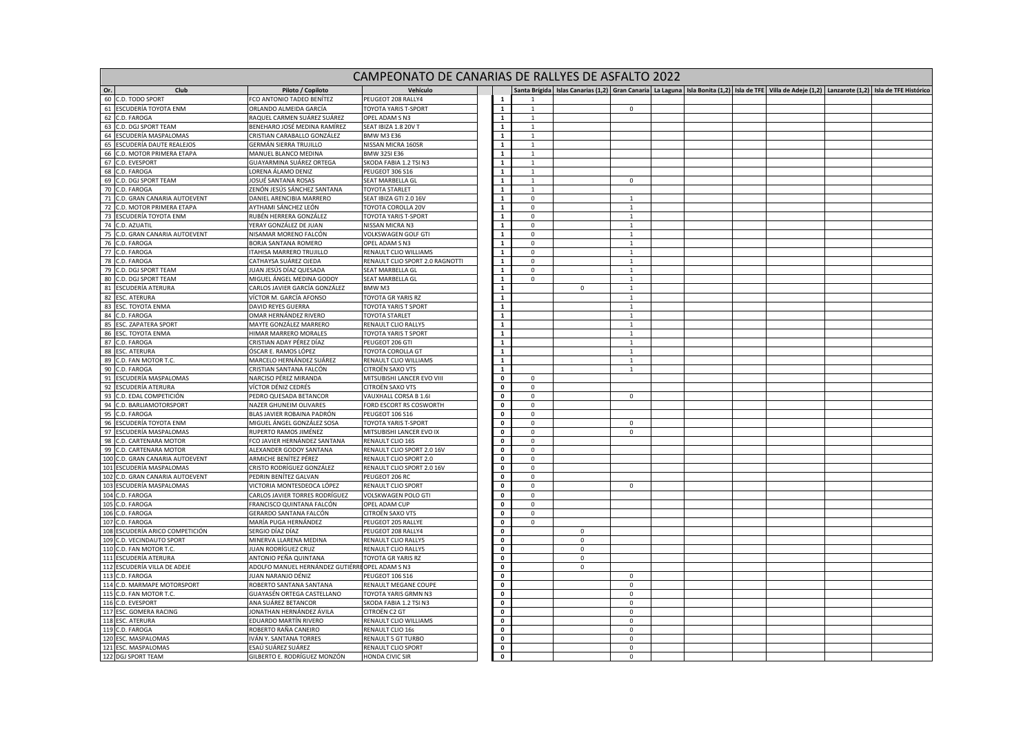|                                   |                                                 | CAMPEONATO DE CANARIAS DE RALLYES DE ASFALTO 2022 |                            |              |              |                                |  |                                                                                                                                                                    |  |
|-----------------------------------|-------------------------------------------------|---------------------------------------------------|----------------------------|--------------|--------------|--------------------------------|--|--------------------------------------------------------------------------------------------------------------------------------------------------------------------|--|
| Or.<br>Club                       | Piloto / Copiloto                               | Vehículc                                          |                            |              |              |                                |  | Santa Brígida   Islas Canarias (1,2)   Gran Canaria   La Laguna   Isla Bonita (1,2)   Isla de TFE   Villa de Adeie (1,2)   Lanzarote (1,2)   Isla de TFE Histórico |  |
| 60 C.D. TODO SPORT                | CO ANTONIO TADEO BENÍTEZ                        | PEUGEOT 208 RALLY4                                |                            |              |              |                                |  |                                                                                                                                                                    |  |
| 61 ESCUDERÍA TOYOTA ENM           | ORLANDO ALMEIDA GARCÍA                          | TOYOTA YARIS T-SPORT                              | $\mathbf{1}$               | $\mathbf{1}$ |              | $\mathbf 0$                    |  |                                                                                                                                                                    |  |
| 62 C.D. FAROGA                    | RAQUEL CARMEN SUÁREZ SUÁREZ                     | OPEL ADAM S N3                                    | $\mathbf{1}$               | $\mathbf{1}$ |              |                                |  |                                                                                                                                                                    |  |
| 63 C.D. DGJ SPORT TEAM            | BENEHARO JOSÉ MEDINA RAMÍREZ                    | SEAT IBIZA 1.8 20V T                              | $\mathbf 1$                | $\mathbf 1$  |              |                                |  |                                                                                                                                                                    |  |
| 64 ESCUDERÍA MASPALOMAS           | CRISTIAN CARABALLO GONZÁLEZ                     | <b>BMW M3 E36</b>                                 | $\mathbf{1}$               | $\mathbf{1}$ |              |                                |  |                                                                                                                                                                    |  |
| 65 ESCUDERÍA DAUTE REALEJOS       | GERMÁN SIERRA TRUJILLO                          | NISSAN MICRA 160SR                                | $\mathbf{1}$               | 1            |              |                                |  |                                                                                                                                                                    |  |
| C.D. MOTOR PRIMERA ETAPA<br>66    | MANUEL BLANCO MEDINA                            | <b>BMW 325I E36</b>                               | $\mathbf 1$                | $\mathbf{1}$ |              |                                |  |                                                                                                                                                                    |  |
| 67<br>C.D. EVESPORT               | GUAYARMINA SUÁREZ ORTEGA                        | SKODA FABIA 1.2 TSI N3                            | $\mathbf 1$                | $\mathbf{1}$ |              |                                |  |                                                                                                                                                                    |  |
| 68 C.D. FAROGA                    | ORENA ÁLAMO DENIZ                               | PEUGEOT 306 S16                                   | $\mathbf{1}$               | $\mathbf{1}$ |              |                                |  |                                                                                                                                                                    |  |
| 69 C.D. DGJ SPORT TEAM            | JOSUÉ SANTANA ROSAS                             | SEAT MARBELLA GL                                  | $\mathbf 1$                | $\mathbf{1}$ |              | $\mathbf 0$                    |  |                                                                                                                                                                    |  |
| 70 C.D. FAROGA                    | ZENÓN JESÚS SÁNCHEZ SANTANA                     | <b>TOYOTA STARLET</b>                             | $\mathbf{1}$               | $\mathbf{1}$ |              |                                |  |                                                                                                                                                                    |  |
| 71 C.D. GRAN CANARIA AUTOEVENT    | DANIEL ARENCIBIA MARRERO                        | SEAT IBIZA GTI 2.0 16V                            | $\overline{1}$             | $\mathsf 0$  |              | $\mathbf{1}$                   |  |                                                                                                                                                                    |  |
| 72 C.D. MOTOR PRIMERA ETAPA       | AYTHAMI SÁNCHEZ LEÓN                            | TOYOTA COROLLA 20V                                | $\mathbf{1}$               | $\mathbf{0}$ |              | 1                              |  |                                                                                                                                                                    |  |
| 73 ESCUDERÍA TOYOTA ENM           | RUBÉN HERRERA GONZÁLEZ                          | TOYOTA YARIS T-SPORT                              | $\mathbf{1}$               | $\mathbf{0}$ |              | 1                              |  |                                                                                                                                                                    |  |
| 74 C.D. AZUATIL                   | YERAY GONZÁLEZ DE JUAN                          | NISSAN MICRA N3                                   | $\mathbf 1$                | $\mathsf 0$  |              | $\mathbf{1}$                   |  |                                                                                                                                                                    |  |
| 75<br>C.D. GRAN CANARIA AUTOEVENT | NISAMAR MORENO FALCÓN                           | VOLKSWAGEN GOLF GTI                               | $\mathbf{1}$               | $\mathsf 0$  |              | $\mathbf{1}$                   |  |                                                                                                                                                                    |  |
|                                   |                                                 |                                                   |                            |              |              |                                |  |                                                                                                                                                                    |  |
| 76<br>C.D. FAROGA                 | BORJA SANTANA ROMERO                            | OPEL ADAM S N3                                    | $\mathbf{1}$               | $\mathbf 0$  |              | $\mathbf{1}$                   |  |                                                                                                                                                                    |  |
| 77 C.D. FAROGA                    | TAHISA MARRERO TRUJILLO                         | RENAULT CLIO WILLIAMS                             | $\mathbf 1$<br>$\mathbf 1$ | $\mathsf 0$  |              | $\mathbf{1}$<br>$\overline{1}$ |  |                                                                                                                                                                    |  |
| 78 C.D. FAROGA                    | CATHAYSA SUÁREZ OJEDA                           | RENAULT CLIO SPORT 2.0 RAGNOTTI                   |                            | $\mathsf 0$  |              |                                |  |                                                                                                                                                                    |  |
| 79 C.D. DGJ SPORT TEAM            | IUAN JESÚS DÍAZ QUESADA                         | SEAT MARBELLA GL                                  | $\mathbf{1}$               | $\mathbf 0$  |              | $\mathbf{1}$                   |  |                                                                                                                                                                    |  |
| 80 C.D. DGJ SPORT TEAM            | MIGUEL ÁNGEL MEDINA GODOY                       | SEAT MARBELLA GL                                  | $\mathbf{1}$               | $\mathbf 0$  |              | $\mathbf{1}$                   |  |                                                                                                                                                                    |  |
| 81 ESCUDERÍA ATERURA              | CARLOS JAVIER GARCÍA GONZÁLEZ                   | BMW M3                                            | $\mathbf 1$                |              | $\mathsf 0$  | $\overline{1}$                 |  |                                                                                                                                                                    |  |
| 82 ESC. ATERURA                   | VÍCTOR M. GARCÍA AFONSO                         | TOYOTA GR YARIS RZ                                | $\overline{1}$             |              |              | $\mathbf{1}$                   |  |                                                                                                                                                                    |  |
| 83 ESC. TOYOTA ENMA               | DAVID REYES GUERRA                              | <b>TOYOTA YARIS T SPORT</b>                       | $\mathbf{1}$               |              |              | $\mathbf{1}$                   |  |                                                                                                                                                                    |  |
| 84 C.D. FAROGA                    | OMAR HERNÁNDEZ RIVERO                           | <b>TOYOTA STARLET</b>                             | $\mathbf 1$                |              |              | $\overline{1}$                 |  |                                                                                                                                                                    |  |
| 85 ESC. ZAPATERA SPORT            | MAYTE GONZÁLEZ MARRERO                          | RENAULT CLIO RALLY5                               | $\mathbf 1$                |              |              | $\overline{1}$                 |  |                                                                                                                                                                    |  |
| 86 ESC. TOYOTA ENMA               | HIMAR MARRERO MORALES                           | TOYOTA YARIS T SPORT                              | $\mathbf 1$                |              |              | $\mathbf{1}$                   |  |                                                                                                                                                                    |  |
| 87 C.D. FAROGA                    | CRISTIAN ADAY PÉREZ DÍAZ                        | PEUGEOT 206 GTI                                   | $\mathbf{1}$               |              |              | $\mathbf{1}$                   |  |                                                                                                                                                                    |  |
| 88 ESC. ATERURA                   | ÓSCAR E. RAMOS LÓPEZ                            | TOYOTA COROLLA GT                                 | $\mathbf 1$                |              |              | $\overline{1}$                 |  |                                                                                                                                                                    |  |
| 89 C.D. FAN MOTOR T.C.            | MARCELO HERNÁNDEZ SUÁREZ                        | RENAULT CLIO WILLIAMS                             | $\overline{1}$             |              |              | $\overline{1}$                 |  |                                                                                                                                                                    |  |
| 90 C.D. FAROGA                    | CRISTIAN SANTANA FALCÓN                         | CITROËN SAXO VTS                                  | $\mathbf{1}$               |              |              | $\mathbf{1}$                   |  |                                                                                                                                                                    |  |
| 91 ESCUDERÍA MASPALOMAS           | NARCISO PÉREZ MIRANDA                           | MITSUBISHI LANCER EVO VIII                        | $\pmb{0}$                  | $\mathsf 0$  |              |                                |  |                                                                                                                                                                    |  |
| 92 ESCUDERÍA ATERURA              | VÍCTOR DÉNIZ CEDRÉS                             | CITROËN SAXO VTS                                  | $\overline{\mathbf{0}}$    | $\mathsf 0$  |              |                                |  |                                                                                                                                                                    |  |
| 93 C.D. EDAL COMPETICIÓN          | PEDRO QUESADA BETANCOR                          | VAUXHALL CORSA B 1.6I                             | $\pmb{\mathsf{o}}$         | $\mathbf 0$  |              | $\mathbf 0$                    |  |                                                                                                                                                                    |  |
| 94 C.D. BARLIAMOTORSPORT          | NAZER GHUNEIM OLIVARES                          | FORD ESCORT RS COSWORTH                           | $\mathbf 0$                | $\mathbf 0$  |              |                                |  |                                                                                                                                                                    |  |
| 95 C.D. FAROGA                    | BLAS JAVIER ROBAINA PADRÓN                      | PEUGEOT 106 S16                                   | $\pmb{0}$                  | $\mathbf{0}$ |              |                                |  |                                                                                                                                                                    |  |
| 96 ESCUDERÍA TOYOTA ENM           | MIGUEL ÁNGEL GONZÁLEZ SOSA                      | TOYOTA YARIS T-SPORT                              | $\mathbf 0$                | $\mathbf 0$  |              | $\mathbf 0$                    |  |                                                                                                                                                                    |  |
| 97 ESCUDERÍA MASPALOMAS           | RUPERTO RAMOS JIMÉNEZ                           | MITSUBISHI LANCER EVO IX                          | $\mathbf 0$                | $\mathbf 0$  |              | $\mathbf 0$                    |  |                                                                                                                                                                    |  |
| 98<br>C.D. CARTENARA MOTOR        | FCO JAVIER HERNÁNDEZ SANTANA                    | RENAULT CLIO 16S                                  | $\pmb{0}$                  | $\mathbf 0$  |              |                                |  |                                                                                                                                                                    |  |
| 99 C.D. CARTENARA MOTOR           | ALEXANDER GODOY SANTANA                         | RENAULT CLIO SPORT 2.0 16V                        | $\pmb{\mathsf{o}}$         | $\mathsf 0$  |              |                                |  |                                                                                                                                                                    |  |
| 100 C.D. GRAN CANARIA AUTOEVENT   | ARMICHE BENÍTEZ PÉREZ                           | RENAULT CLIO SPORT 2.0                            | $\pmb{\mathsf{o}}$         | $\mathsf 0$  |              |                                |  |                                                                                                                                                                    |  |
| 101 ESCUDERÍA MASPALOMAS          | CRISTO RODRÍGUEZ GONZÁLEZ                       | RENAULT CLIO SPORT 2.0 16V                        | $\mathbf 0$                | $\mathbf 0$  |              |                                |  |                                                                                                                                                                    |  |
| 102 C.D. GRAN CANARIA AUTOEVENT   | PEDRIN BENÍTEZ GALVAN                           | PEUGEOT 206 RC                                    | $\mathbf 0$                | $\mathbf 0$  |              |                                |  |                                                                                                                                                                    |  |
| 103 ESCUDERÍA MASPALOMAS          | VICTORIA MONTESDEOCA LÓPEZ                      | RENAULT CLIO SPORT                                | $\pmb{\mathsf{o}}$         | $\mathbf 0$  |              | $\mathbf 0$                    |  |                                                                                                                                                                    |  |
| 104 C.D. FAROGA                   | CARLOS JAVIER TORRES RODRÍGUEZ                  | VOLSKWAGEN POLO GTI                               | $\mathbf 0$                | $\mathbf 0$  |              |                                |  |                                                                                                                                                                    |  |
| 105 C.D. FAROGA                   | FRANCISCO QUINTANA FALCÓN                       | OPEL ADAM CUP                                     | $\mathbf 0$                | $\mathbf 0$  |              |                                |  |                                                                                                                                                                    |  |
|                                   | GERARDO SANTANA FALCÓN                          | CITROËN SAXO VTS                                  | $\pmb{0}$                  | $\mathbf{0}$ |              |                                |  |                                                                                                                                                                    |  |
| 106 C.D. FAROGA                   |                                                 |                                                   |                            |              |              |                                |  |                                                                                                                                                                    |  |
| 107 C.D. FAROGA                   | MARÍA PUGA HERNÁNDEZ                            | PEUGEOT 205 RALLYE                                | $\pmb{\mathsf{o}}$         | $\mathbf{0}$ |              |                                |  |                                                                                                                                                                    |  |
| 108 ESCUDERÍA ARICO COMPETICIÓN   | SERGIO DÍAZ DÍAZ                                | PEUGEOT 208 RALLY4                                | $\pmb{\mathsf{o}}$         |              | $\mathbf{0}$ |                                |  |                                                                                                                                                                    |  |
| 109 C.D. VECINDAUTO SPORT         | MINERVA LLARENA MEDINA                          | RENAULT CLIO RALLY5                               | $\pmb{0}$                  |              | $\mathbf 0$  |                                |  |                                                                                                                                                                    |  |
| 110 C.D. FAN MOTOR T.C.           | IUAN RODRÍGUEZ CRUZ                             | RENAULT CLIO RALLY5                               | $\pmb{0}$                  |              | $\Omega$     |                                |  |                                                                                                                                                                    |  |
| 111 ESCUDERÍA ATERURA             | ANTONIO PEÑA QUINTANA                           | TOYOTA GR YARIS RZ                                | $\pmb{0}$                  |              | $\Omega$     |                                |  |                                                                                                                                                                    |  |
| 112 ESCUDERÍA VILLA DE ADEJE      | ADOLFO MANUEL HERNÁNDEZ GUTIÉRRI OPEL ADAM S N3 |                                                   | $\mathbf 0$                |              | 0            |                                |  |                                                                                                                                                                    |  |
| 113 C.D. FAROGA                   | IUAN NARANJO DÉNIZ                              | PEUGEOT 106 S16                                   | $\mathbf 0$                |              |              | $\Omega$                       |  |                                                                                                                                                                    |  |
| 114 C.D. MARMAPE MOTORSPORT       | ROBERTO SANTANA SANTANA                         | RENAULT MEGANE COUPE                              | $\pmb{\mathsf{o}}$         |              |              | $\mathbf 0$                    |  |                                                                                                                                                                    |  |
| 115 C.D. FAN MOTOR T.C.           | GUAYASÉN ORTEGA CASTELLANO                      | TOYOTA YARIS GRMN N3                              | $\mathbf 0$                |              |              | $\mathbf 0$                    |  |                                                                                                                                                                    |  |
| 116 C.D. EVESPORT                 | ANA SUÁREZ BETANCOR                             | SKODA FABIA 1.2 TSI N3                            | $\pmb{0}$                  |              |              | $\mathsf 0$                    |  |                                                                                                                                                                    |  |
| 117 ESC. GOMERA RACING            | IONATHAN HERNÁNDEZ ÁVILA                        | CITROËN C2 GT                                     | $\bullet$                  |              |              | $\mathbf 0$                    |  |                                                                                                                                                                    |  |
| 118 ESC. ATERURA                  | EDUARDO MARTÍN RIVERO                           | RENAULT CLIO WILLIAMS                             | $\pmb{0}$                  |              |              | $\mathbf 0$                    |  |                                                                                                                                                                    |  |
| 119 C.D. FAROGA                   | ROBERTO RAÑA CANEIRO                            | RENAULT CLIO 16s                                  | $\pmb{0}$                  |              |              | $\Omega$                       |  |                                                                                                                                                                    |  |
| 120 ESC. MASPALOMAS               | VÁN Y. SANTANA TORRES                           | RENAULT 5 GT TURBO                                | $\pmb{0}$                  |              |              | $\mathsf 0$                    |  |                                                                                                                                                                    |  |
| 121 ESC. MASPALOMAS               | ESAÚ SUÁREZ SUÁREZ                              | RENAULT CLIO SPORT                                | $\pmb{\mathsf{o}}$         |              |              | $\mathsf 0$                    |  |                                                                                                                                                                    |  |
| 122 DGJ SPORT TEAM                | GILBERTO E. RODRÍGUEZ MONZÓN                    | <b>HONDA CIVIC SIR</b>                            | $\mathbf{0}$               |              |              | $\Omega$                       |  |                                                                                                                                                                    |  |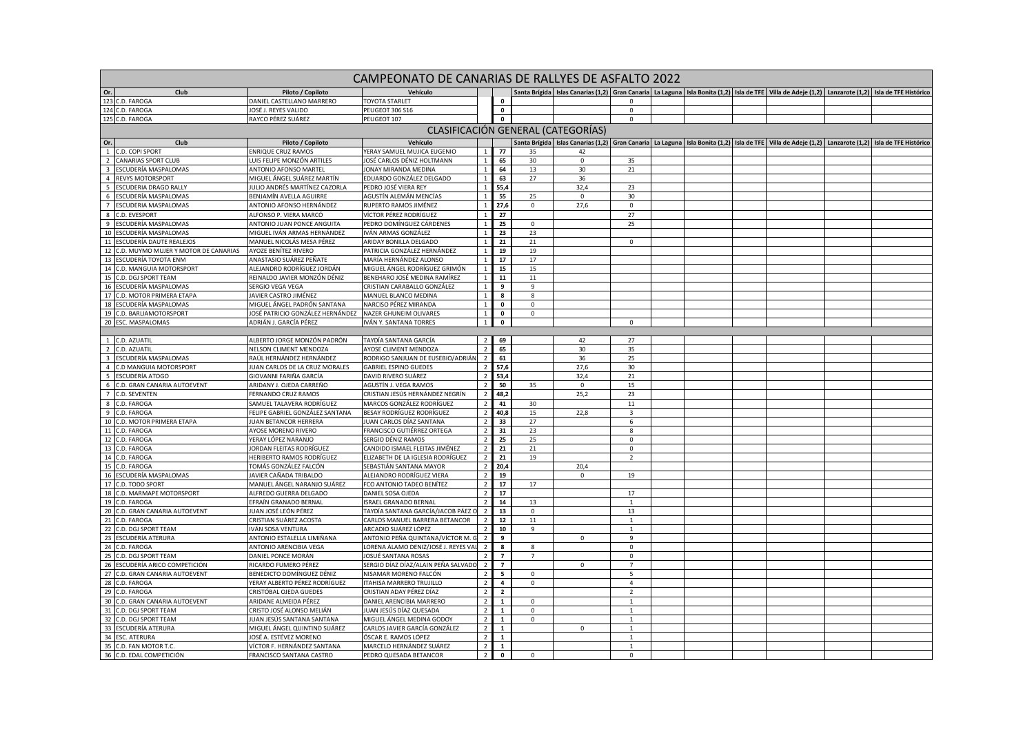| CAMPEONATO DE CANARIAS DE RALLYES DE ASFALTO 2022<br>Santa Brígida   Islas Canarias (1,2)   Gran Canaria   La Laguna   Isla Bonita (1,2)   Isla de TFE   Villa de Adeje (1,2)   Lanzarote (1,2)   Isla de TFE Históricc |                                                |                                                        |                                    |                         |                |                     |                |  |  |  |  |  |                                                                                                                                                    |
|-------------------------------------------------------------------------------------------------------------------------------------------------------------------------------------------------------------------------|------------------------------------------------|--------------------------------------------------------|------------------------------------|-------------------------|----------------|---------------------|----------------|--|--|--|--|--|----------------------------------------------------------------------------------------------------------------------------------------------------|
| Club<br>Or.                                                                                                                                                                                                             | Piloto / Copiloto                              | Vehículo                                               |                                    |                         |                |                     |                |  |  |  |  |  |                                                                                                                                                    |
| 123 C.D. FAROGA                                                                                                                                                                                                         | DANIEL CASTELLANO MARRERO                      | <b>TOYOTA STARLET</b>                                  |                                    | $\mathbf{0}$            |                |                     | $\Omega$       |  |  |  |  |  |                                                                                                                                                    |
| 124 C.D. FAROGA                                                                                                                                                                                                         | IOSÉ J. REYES VALIDO                           | <b>PEUGEOT 306 S16</b>                                 |                                    | $\mathbf 0$             |                |                     | $\mathbf 0$    |  |  |  |  |  |                                                                                                                                                    |
| 125 C.D. FAROGA                                                                                                                                                                                                         | RAYCO PÉREZ SUÁREZ                             | PEUGEOT 107                                            |                                    | $\mathbf{o}$            |                |                     | $\mathbf{0}$   |  |  |  |  |  |                                                                                                                                                    |
|                                                                                                                                                                                                                         |                                                |                                                        | CLASIFICACIÓN GENERAL (CATEGORÍAS) |                         |                |                     |                |  |  |  |  |  |                                                                                                                                                    |
| Or.<br>Club                                                                                                                                                                                                             | Piloto / Copiloto                              | Vehículo                                               |                                    |                         |                |                     |                |  |  |  |  |  | Santa Brígida Islas Canarias (1,2) Gran Canaria La Laguna Isla Bonita (1,2) Isla de TFE Villa de Adeje (1,2) Lanzarote (1,2) Isla de TFE Histórico |
| 1 C.D. COPI SPORT                                                                                                                                                                                                       | ENRIQUE CRUZ RAMOS                             | YERAY SAMUEL MUJICA EUGENIO                            | $\mathbf{1}$                       | 77                      | 35             | 42                  |                |  |  |  |  |  |                                                                                                                                                    |
| 2 CANARIAS SPORT CLUB                                                                                                                                                                                                   | LUIS FELIPE MONZÓN ARTILES                     | JOSÉ CARLOS DÉNIZ HOLTMANN                             | $\mathbf{1}$                       | 65                      | 30             | $\mathbf 0$         | 35             |  |  |  |  |  |                                                                                                                                                    |
| 3 ESCUDERÍA MASPALOMAS                                                                                                                                                                                                  | ANTONIO AFONSO MARTEI                          | JONAY MIRANDA MEDINA                                   | $\mathbf{1}$                       | 64                      | 13             | 30                  | 21             |  |  |  |  |  |                                                                                                                                                    |
| 4 REVYS MOTORSPORT                                                                                                                                                                                                      | MIGUEL ÁNGEL SUÁREZ MARTÍN                     | EDUARDO GONZÁLEZ DELGADO                               | $\overline{1}$                     | 63                      | 27             | 36                  |                |  |  |  |  |  |                                                                                                                                                    |
| 5 ESCUDERIA DRAGO RALLY                                                                                                                                                                                                 | IULIO ANDRÉS MARTÍNEZ CAZORLA                  | PEDRO JOSÉ VIERA REY                                   | $\,$ 1                             | 55,4                    |                | 32,4                | 23             |  |  |  |  |  |                                                                                                                                                    |
| 6 ESCUDERÍA MASPALOMAS                                                                                                                                                                                                  | BENJAMÍN AVELLA AGUIRRE                        | AGUSTÍN ALEMÁN MENCÍAS                                 | $\mathbf{1}$                       | 55                      | 25             | $\mathbf 0$         | 30             |  |  |  |  |  |                                                                                                                                                    |
| 7 ESCUDERIA MASPALOMAS                                                                                                                                                                                                  | ANTONIO AFONSO HERNÁNDEZ                       | RUPERTO RAMOS JIMÉNEZ                                  | $\mathbf{1}$                       | 27,6                    | $\mathbf{0}$   | 27,6                | $\mathbf{0}$   |  |  |  |  |  |                                                                                                                                                    |
| 8 C.D. EVESPORT                                                                                                                                                                                                         | ALFONSO P. VIERA MARCÓ                         | VÍCTOR PÉREZ RODRÍGUEZ                                 | $\overline{1}$                     | 27                      |                |                     | 27             |  |  |  |  |  |                                                                                                                                                    |
| 9 ESCUDERÍA MASPALOMAS                                                                                                                                                                                                  | ANTONIO JUAN PONCE ANGUITA                     | PEDRO DOMÍNGUEZ CÁRDENES                               | $\,$ 1                             | 25                      | $\mathsf 0$    |                     | 25             |  |  |  |  |  |                                                                                                                                                    |
| 10 ESCUDERÍA MASPALOMAS                                                                                                                                                                                                 | MIGUEL IVÁN ARMAS HERNÁNDEZ                    | IVÁN ARMAS GONZÁLEZ                                    | $\overline{1}$                     | 23                      | 23             |                     |                |  |  |  |  |  |                                                                                                                                                    |
| 11 ESCUDERÍA DAUTE REALEJOS                                                                                                                                                                                             | MANUEL NICOLÁS MESA PÉREZ                      | ARIDAY BONILLA DELGADO                                 | $\overline{1}$                     | 21                      | 21             |                     | $\mathbf 0$    |  |  |  |  |  |                                                                                                                                                    |
| 12 C.D. MUYMO MUJER Y MOTOR DE CANARIAS                                                                                                                                                                                 | AYOZE BENÍTEZ RIVERO                           | PATRICIA GONZÁLEZ HERNÁNDEZ                            | $\overline{1}$                     | 19                      | 19             |                     |                |  |  |  |  |  |                                                                                                                                                    |
| 13 ESCUDERÍA TOYOTA ENM                                                                                                                                                                                                 | ANASTASIO SUÁREZ PEÑATE                        | MARÍA HERNÁNDEZ ALONSO                                 | $\mathbf{1}$                       | 17                      | 17             |                     |                |  |  |  |  |  |                                                                                                                                                    |
| 14 C.D. MANGUIA MOTORSPORT                                                                                                                                                                                              | ALEJANDRO RODRÍGUEZ JORDÁN                     | MIGUEL ÁNGEL RODRÍGUEZ GRIMÓN                          | $\overline{1}$                     | 15                      | 15             |                     |                |  |  |  |  |  |                                                                                                                                                    |
| 15 C.D. DGJ SPORT TEAM                                                                                                                                                                                                  | REINALDO JAVIER MONZÓN DÉNIZ                   | BENEHARO JOSÉ MEDINA RAMÍREZ                           | $\overline{1}$                     | 11                      | $11\,$         |                     |                |  |  |  |  |  |                                                                                                                                                    |
| 16 ESCUDERÍA MASPALOMAS                                                                                                                                                                                                 | SERGIO VEGA VEGA                               | CRISTIAN CARABALLO GONZÁLEZ                            | $\mathbf{1}$                       | 9                       | 9              |                     |                |  |  |  |  |  |                                                                                                                                                    |
| 17 C.D. MOTOR PRIMERA ETAPA                                                                                                                                                                                             | IAVIER CASTRO JIMÉNEZ                          | MANUEL BLANCO MEDINA                                   | $\mathbf{1}$                       | 8                       | 8              |                     |                |  |  |  |  |  |                                                                                                                                                    |
| ESCUDERÍA MASPALOMAS<br>18                                                                                                                                                                                              | MIGUEL ÁNGEL PADRÓN SANTANA                    | NARCISO PÉREZ MIRANDA                                  | $\overline{1}$                     | $\pmb{0}$               | $\mathbf 0$    |                     |                |  |  |  |  |  |                                                                                                                                                    |
| 19 C.D. BARLIAMOTORSPORT                                                                                                                                                                                                | OSÉ PATRICIO GONZÁLEZ HERNÁNDEZ                | <b>NAZER GHUNEIM OLIVARES</b>                          | $\mathbf{1}$                       | $\mathbf 0$             | $\mathbf{0}$   |                     |                |  |  |  |  |  |                                                                                                                                                    |
| 20 ESC. MASPALOMAS                                                                                                                                                                                                      | ADRIÁN J. GARCÍA PÉREZ                         | IVÁN Y. SANTANA TORRES                                 | $\,$ 1                             | $\pmb{0}$               |                |                     | $\Omega$       |  |  |  |  |  |                                                                                                                                                    |
|                                                                                                                                                                                                                         |                                                |                                                        |                                    |                         |                |                     |                |  |  |  |  |  |                                                                                                                                                    |
| 1 C.D. AZUATIL                                                                                                                                                                                                          | ALBERTO JORGE MONZÓN PADRÓN                    | TAYDÍA SANTANA GARCÍA                                  | $\overline{2}$                     | 69                      |                | 42                  | 27             |  |  |  |  |  |                                                                                                                                                    |
| 2 C.D. AZUATIL                                                                                                                                                                                                          | <b>VELSON CLIMENT MENDOZA</b>                  | AYOSE CLIMENT MENDOZA                                  | $\overline{2}$                     | 65                      |                | 30                  | 35             |  |  |  |  |  |                                                                                                                                                    |
| 3 ESCUDERÍA MASPALOMAS                                                                                                                                                                                                  | RAÚL HERNÁNDEZ HERNÁNDEZ                       | RODRIGO SANJUAN DE EUSEBIO/ADRIÁN                      | $\overline{2}$                     | 61                      |                | 36                  | 25             |  |  |  |  |  |                                                                                                                                                    |
| 4 C.D MANGUIA MOTORSPORT                                                                                                                                                                                                | IUAN CARLOS DE LA CRUZ MORALES                 | <b>GABRIEL ESPINO GUEDES</b>                           | $\overline{2}$                     | 57,6                    |                | 27,6                | 30             |  |  |  |  |  |                                                                                                                                                    |
| 5<br>ESCUDERÍA ATOGO                                                                                                                                                                                                    | GIOVANNI FARIÑA GARCÍA                         | DAVID RIVERO SUÁREZ                                    | $\overline{2}$                     | 53,4                    |                | 32,4                | 21             |  |  |  |  |  |                                                                                                                                                    |
| 6 C.D. GRAN CANARIA AUTOEVENT                                                                                                                                                                                           | ARIDANY J. OJEDA CARREÑO                       | AGUSTÍN J. VEGA RAMOS                                  | $\overline{2}$                     | 50                      | 35             | $\mathbf 0$         | 15             |  |  |  |  |  |                                                                                                                                                    |
| 7 C.D. SEVENTEN                                                                                                                                                                                                         | FERNANDO CRUZ RAMOS                            | CRISTIAN JESÚS HERNÁNDEZ NEGRÍN                        | $\overline{2}$                     | 48,2                    |                | 25,2                | 23             |  |  |  |  |  |                                                                                                                                                    |
| 8 C.D. FAROGA                                                                                                                                                                                                           | SAMUEL TALAVERA RODRÍGUEZ                      | MARCOS GONZÁLEZ RODRÍGUEZ                              | $\overline{2}$                     | 41                      | 30             |                     | $11\,$         |  |  |  |  |  |                                                                                                                                                    |
| 9 C.D. FAROGA                                                                                                                                                                                                           | FELIPE GABRIEL GONZÁLEZ SANTANA                | BESAY RODRÍGUEZ RODRÍGUEZ                              | $\overline{2}$                     | 40,8                    | 15             | 22,8                | $\overline{3}$ |  |  |  |  |  |                                                                                                                                                    |
| 10 C.D. MOTOR PRIMERA ETAPA                                                                                                                                                                                             | <b>IUAN BETANCOR HERRERA</b>                   | JUAN CARLOS DÍAZ SANTANA                               | $\overline{2}$                     | 33                      | 27             |                     | 6              |  |  |  |  |  |                                                                                                                                                    |
| 11 C.D. FAROGA                                                                                                                                                                                                          | AYOSE MORENO RIVERO                            | FRANCISCO GUTIÉRREZ ORTEGA                             | $\overline{2}$                     | 31                      | 23             |                     | 8              |  |  |  |  |  |                                                                                                                                                    |
| 12 C.D. FAROGA                                                                                                                                                                                                          | YERAY LÓPEZ NARANJO                            | SERGIO DÉNIZ RAMOS                                     | $\overline{2}$                     | 25                      | 25             |                     | $\mathsf 0$    |  |  |  |  |  |                                                                                                                                                    |
| 13 C.D. FAROGA                                                                                                                                                                                                          | <b>IORDAN FLEITAS RODRÍGUEZ</b>                | CANDIDO ISMAEL FLEITAS JIMÉNEZ                         | $\overline{2}$                     | 21                      | 21             |                     | $\mathbf{0}$   |  |  |  |  |  |                                                                                                                                                    |
| 14 C.D. FAROGA                                                                                                                                                                                                          | HERIBERTO RAMOS RODRÍGUEZ                      | ELIZABETH DE LA IGLESIA RODRÍGUEZ                      | $\overline{2}$                     | 21                      | 19             |                     | $\overline{2}$ |  |  |  |  |  |                                                                                                                                                    |
| 15 C.D. FAROGA<br>16 ESCUDERÍA MASPALOMAS                                                                                                                                                                               | TOMÁS GONZÁLEZ FALCÓN<br>AVIER CAÑADA TRIBALDO | SEBASTIÁN SANTANA MAYOR                                | $\overline{2}$<br>$\overline{2}$   | 20,4<br>19              |                | 20,4<br>$\mathsf 0$ |                |  |  |  |  |  |                                                                                                                                                    |
| 17 C.D. TODO SPORT                                                                                                                                                                                                      | MANUEL ÁNGEL NARANJO SUÁREZ                    | ALEJANDRO RODRÍGUEZ VIERA<br>FCO ANTONIO TADEO BENÍTEZ | $\overline{2}$                     | 17                      | 17             |                     | 19             |  |  |  |  |  |                                                                                                                                                    |
| C.D. MARMAPE MOTORSPORT<br>18                                                                                                                                                                                           | ALFREDO GUERRA DELGADO                         | DANIEL SOSA OJEDA                                      | $\overline{z}$                     | 17                      |                |                     | 17             |  |  |  |  |  |                                                                                                                                                    |
| 19<br>C.D. FAROGA                                                                                                                                                                                                       | EFRAÍN GRANADO BERNAL                          | <b>ISRAEL GRANADO BERNAL</b>                           | $\overline{2}$                     | 14                      | 13             |                     | $\mathbf{1}$   |  |  |  |  |  |                                                                                                                                                    |
| 20 C.D. GRAN CANARIA AUTOEVENT                                                                                                                                                                                          | IUAN JOSÉ LEÓN PÉREZ                           | TAYDÍA SANTANA GARCÍA/JACOB PÁEZ O                     | $\overline{2}$                     | 13                      | $\mathbf 0$    |                     | 13             |  |  |  |  |  |                                                                                                                                                    |
| 21 C.D. FAROGA                                                                                                                                                                                                          | CRISTIAN SUÁREZ ACOSTA                         | CARLOS MANUEL BARRERA BETANCOR                         | $\overline{\phantom{a}}$           | 12                      | 11             |                     | $\mathbf{1}$   |  |  |  |  |  |                                                                                                                                                    |
| 22 C.D. DGJ SPORT TEAM                                                                                                                                                                                                  | VÁN SOSA VENTURA                               | ARCADIO SUÁREZ LÓPEZ                                   | $\overline{2}$                     | 10                      | 9              |                     | $\mathbf{1}$   |  |  |  |  |  |                                                                                                                                                    |
| 23 ESCUDERÍA ATERURA                                                                                                                                                                                                    | ANTONIO ESTALELLA LIMIÑANA                     | ANTONIO PEÑA QUINTANA/VÍCTOR M. G                      | $\overline{2}$                     | 9                       |                | $\mathsf 0$         | 9              |  |  |  |  |  |                                                                                                                                                    |
| 24 C.D. FAROGA                                                                                                                                                                                                          | ANTONIO ARENCIBIA VEGA                         | LORENA ÁLAMO DENIZ/JOSÉ J. REYES VAL                   | $\overline{2}$                     | 8                       | 8              |                     | 0              |  |  |  |  |  |                                                                                                                                                    |
| 25<br>C.D. DGJ SPORT TEAM                                                                                                                                                                                               | DANIEL PONCE MORÁN                             | JOSUÉ SANTANA ROSAS                                    |                                    | $\overline{7}$          | $\overline{7}$ |                     | $\Omega$       |  |  |  |  |  |                                                                                                                                                    |
| 26 ESCUDERÍA ARICO COMPETICIÓN                                                                                                                                                                                          | RICARDO FUMERO PÉREZ                           | SERGIO DÍAZ DÍAZ/ALAIN PEÑA SALVADO                    | $\overline{2}$                     | $\overline{7}$          |                | $\Omega$            | $\overline{7}$ |  |  |  |  |  |                                                                                                                                                    |
| 27 C.D. GRAN CANARIA AUTOEVENT                                                                                                                                                                                          | BENEDICTO DOMÍNGUEZ DÉNIZ                      | NISAMAR MORENO FALCÓN                                  | $\overline{2}$                     | 5                       | $\mathbf 0$    |                     | 5              |  |  |  |  |  |                                                                                                                                                    |
| 28 C.D. FAROGA                                                                                                                                                                                                          | YERAY ALBERTO PÉREZ RODRÍGUEZ                  | <b>TAHISA MARRERO TRUJILLO</b>                         | $\overline{2}$                     | $\overline{4}$          | $\mathbf{0}$   |                     | $\overline{4}$ |  |  |  |  |  |                                                                                                                                                    |
| 29 C.D. FAROGA                                                                                                                                                                                                          | CRISTÓBAL OJEDA GUEDES                         | CRISTIAN ADAY PÉREZ DÍAZ                               | $\overline{2}$                     | $\overline{\mathbf{2}}$ |                |                     | $\overline{2}$ |  |  |  |  |  |                                                                                                                                                    |
| 30 C.D. GRAN CANARIA AUTOEVENT                                                                                                                                                                                          | ARIDANE ALMEIDA PÉREZ                          | DANIEL ARENCIBIA MARRERO                               | $\overline{2}$                     | $\mathbf{1}$            | $\mathbf 0$    |                     | $\mathbf{1}$   |  |  |  |  |  |                                                                                                                                                    |
| 31 C.D. DGJ SPORT TEAM                                                                                                                                                                                                  | CRISTO JOSÉ ALONSO MELIÁN                      | JUAN JESÚS DÍAZ QUESADA                                | $\overline{2}$                     | 1                       | $\mathbf 0$    |                     | $\mathbf{1}$   |  |  |  |  |  |                                                                                                                                                    |
| 32 C.D. DGJ SPORT TEAM                                                                                                                                                                                                  | IUAN JESÚS SANTANA SANTANA                     | MIGUEL ÁNGEL MEDINA GODOY                              | $\overline{z}$                     | $\mathbf 1$             | $\mathbf 0$    |                     | $\overline{1}$ |  |  |  |  |  |                                                                                                                                                    |
| 33 ESCUDERÍA ATERURA                                                                                                                                                                                                    | MIGUEL ÁNGEL QUINTINO SUÁREZ                   | CARLOS JAVIER GARCÍA GONZÁLEZ                          | $\overline{2}$                     | 1                       |                | $\Omega$            | $\overline{1}$ |  |  |  |  |  |                                                                                                                                                    |
| 34 ESC. ATERURA                                                                                                                                                                                                         | IOSÉ A. ESTÉVEZ MORENO                         | ÓSCAR E. RAMOS LÓPEZ                                   | $\overline{2}$                     | $\mathbf{1}$            |                |                     | $\overline{1}$ |  |  |  |  |  |                                                                                                                                                    |
| 35 C.D. FAN MOTOR T.C.                                                                                                                                                                                                  | VÍCTOR F. HERNÁNDEZ SANTANA                    | MARCELO HERNÁNDEZ SUÁREZ                               | $\overline{2}$                     | $\mathbf{1}$            |                |                     | $\overline{1}$ |  |  |  |  |  |                                                                                                                                                    |
| 36 C.D. EDAL COMPETICIÓN                                                                                                                                                                                                | FRANCISCO SANTANA CASTRO                       | PEDRO QUESADA BETANCOR                                 | $\overline{2}$                     | $\mathbf 0$             | $\Omega$       |                     | $\Omega$       |  |  |  |  |  |                                                                                                                                                    |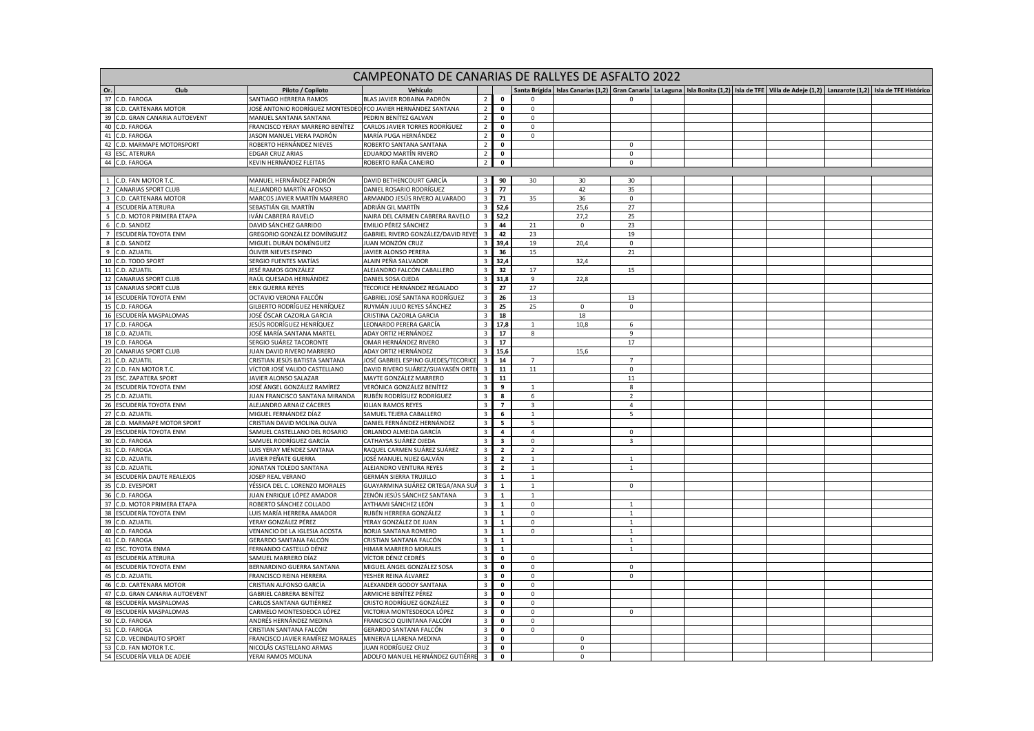|                                           | CAMPEONATO DE CANARIAS DE RALLYES DE ASFALTO 2022  |                                                               |                                                           |                                                    |                              |                         |             |                              |  |  |  |                                                                                                                                                                    |  |  |
|-------------------------------------------|----------------------------------------------------|---------------------------------------------------------------|-----------------------------------------------------------|----------------------------------------------------|------------------------------|-------------------------|-------------|------------------------------|--|--|--|--------------------------------------------------------------------------------------------------------------------------------------------------------------------|--|--|
| Or.                                       | Club                                               | Piloto / Copiloto                                             |                                                           |                                                    |                              |                         |             |                              |  |  |  | Santa Brígida   Islas Canarias (1,2)   Gran Canaria   La Laguna   Isla Bonita (1,2)   Isla de TFE   Villa de Adeje (1,2)   Lanzarote (1,2)   Isla de TFE Históricc |  |  |
| 37                                        | C.D. FAROGA                                        | SANTIAGO HERRERA RAMOS                                        | BLAS JAVIER ROBAINA PADRÓN                                | $\overline{2}$                                     | $\mathbf 0$                  | $\Omega$                |             | $\Omega$                     |  |  |  |                                                                                                                                                                    |  |  |
| 38                                        | C.D. CARTENARA MOTOR                               | JOSÉ ANTONIO RODRÍGUEZ MONTESDEO FCO JAVIER HERNÁNDEZ SANTANA |                                                           | $\overline{2}$                                     | $\mathbf 0$                  | $\mathbf 0$             |             |                              |  |  |  |                                                                                                                                                                    |  |  |
| 39                                        | C.D. GRAN CANARIA AUTOEVENT                        | MANUEL SANTANA SANTANA                                        | PEDRIN BENÍTEZ GALVAN                                     | $\overline{2}$                                     | $\mathbf 0$                  | $\mathbf 0$             |             |                              |  |  |  |                                                                                                                                                                    |  |  |
| 40                                        | C.D. FAROGA                                        | FRANCISCO YERAY MARRERO BENÍTEZ                               | CARLOS JAVIER TORRES RODRÍGUEZ                            | $\overline{2}$                                     | $\mathbf 0$                  | $\mathsf 0$             |             |                              |  |  |  |                                                                                                                                                                    |  |  |
| 41                                        | C.D. FAROGA                                        | JASON MANUEL VIERA PADRÓN                                     | MARÍA PUGA HERNÁNDEZ                                      | $\overline{2}$                                     | $\mathbf 0$                  | $\mathbf 0$             |             |                              |  |  |  |                                                                                                                                                                    |  |  |
| 42                                        | C.D. MARMAPE MOTORSPORT                            | ROBERTO HERNÁNDEZ NIEVES                                      | ROBERTO SANTANA SANTANA                                   | $\overline{2}$                                     | $\mathbf 0$                  |                         |             | 0                            |  |  |  |                                                                                                                                                                    |  |  |
| 43                                        | <b>ESC. ATERURA</b>                                | <b>EDGAR CRUZ ARIAS</b>                                       | EDUARDO MARTÍN RIVERO                                     | $\overline{2}$                                     | $\mathbf 0$                  |                         |             | $\Omega$                     |  |  |  |                                                                                                                                                                    |  |  |
| 44                                        | C.D. FAROGA                                        | KEVIN HERNÁNDEZ FLEITAS                                       | ROBERTO RAÑA CANEIRO                                      | $\overline{2}$                                     | $\mathbf 0$                  |                         |             | $\Omega$                     |  |  |  |                                                                                                                                                                    |  |  |
|                                           |                                                    |                                                               |                                                           |                                                    |                              |                         |             |                              |  |  |  |                                                                                                                                                                    |  |  |
| $\overline{1}$                            | C.D. FAN MOTOR T.C.                                | MANUEL HERNÁNDEZ PADRÓN                                       | DAVID BETHENCOURT GARCÍA                                  | $\overline{\mathbf{3}}$                            | 90                           | 30                      | 30          | 30                           |  |  |  |                                                                                                                                                                    |  |  |
| $\overline{2}$<br>$\overline{\mathbf{3}}$ | <b>CANARIAS SPORT CLUB</b><br>C.D. CARTENARA MOTOR | ALEJANDRO MARTÍN AFONSO<br>MARCOS JAVIER MARTÍN MARRERO       | DANIEL ROSARIO RODRÍGUEZ<br>ARMANDO JESÚS RIVERO ALVARADO | $\overline{\mathbf{3}}$<br>$\overline{\mathbf{3}}$ | 77<br>71                     | 35                      | 42<br>36    | 35<br>$\mathsf 0$            |  |  |  |                                                                                                                                                                    |  |  |
|                                           | 4 ESCUDERÍA ATERURA                                | SEBASTIÁN GIL MARTÍN                                          | ADRIÁN GIL MARTÍN                                         | 3 <sup>1</sup>                                     | 52,6                         |                         | 25,6        | 27                           |  |  |  |                                                                                                                                                                    |  |  |
| 5                                         | C.D. MOTOR PRIMERA ETAPA                           | IVÁN CABRERA RAVELO                                           | NAIRA DEL CARMEN CABRERA RAVELO                           | $\overline{\mathbf{3}}$                            | 52.2                         |                         | 27,2        | 25                           |  |  |  |                                                                                                                                                                    |  |  |
| 6                                         | C.D. SANDEZ                                        | DAVID SÁNCHEZ GARRIDO                                         | EMILIO PÉREZ SÁNCHEZ                                      | $\overline{3}$                                     | 44                           | 21                      | $\mathbf 0$ | 23                           |  |  |  |                                                                                                                                                                    |  |  |
| $7\overline{ }$                           | ESCUDERÍA TOYOTA ENM                               | GREGORIO GONZÁLEZ DOMÍNGUEZ                                   | GABRIEL RIVERO GONZÁLEZ/DAVID REYES                       | $\overline{\mathbf{3}}$                            | 42                           | 23                      |             | 19                           |  |  |  |                                                                                                                                                                    |  |  |
| 8 <sup>8</sup>                            | C.D. SANDEZ                                        | MIGUEL DURÁN DOMÍNGUEZ                                        | JUAN MONZÓN CRUZ                                          | $\overline{\mathbf{3}}$                            | 39,4                         | 19                      | 20,4        | $\mathbf 0$                  |  |  |  |                                                                                                                                                                    |  |  |
| 9                                         | C.D. AZUATIL                                       | ÓLIVER NIEVES ESPINO                                          | JAVIER ALONSO PERERA                                      | $\overline{\mathbf{3}}$                            | 36                           | 15                      |             | 21                           |  |  |  |                                                                                                                                                                    |  |  |
| 10                                        | C.D. TODO SPORT                                    | SERGIO FUENTES MATÍAS                                         | ALAIN PEÑA SALVADOR                                       | $\overline{\mathbf{3}}$                            | 32,4                         |                         | 32,4        |                              |  |  |  |                                                                                                                                                                    |  |  |
|                                           | 11 C.D. AZUATIL                                    | IESÉ RAMOS GONZÁLEZ                                           | ALEJANDRO FALCÓN CABALLERO                                | $\overline{\mathbf{3}}$                            | 32                           | 17                      |             | 15                           |  |  |  |                                                                                                                                                                    |  |  |
|                                           | 12 CANARIAS SPORT CLUB                             | RAÚL QUESADA HERNÁNDEZ                                        | DANIEL SOSA OJEDA                                         | $\overline{\mathbf{3}}$                            | 31,8                         | 9                       | 22,8        |                              |  |  |  |                                                                                                                                                                    |  |  |
| 13                                        | <b>CANARIAS SPORT CLUB</b>                         | ERIK GUERRA REYES                                             | TECORICE HERNÁNDEZ REGALADO                               | $\overline{\mathbf{3}}$                            | 27                           | 27                      |             |                              |  |  |  |                                                                                                                                                                    |  |  |
|                                           | 14 ESCUDERÍA TOYOTA ENM                            | OCTAVIO VERONA FALCÓN                                         | GABRIEL JOSÉ SANTANA RODRÍGUEZ                            | $\overline{\mathbf{3}}$                            | 26                           | 13                      |             | 13                           |  |  |  |                                                                                                                                                                    |  |  |
| 15                                        | C.D. FAROGA                                        | GILBERTO RODRÍGUEZ HENRÍQUEZ                                  | RUYMÁN JULIO REYES SÁNCHEZ                                | $\overline{\mathbf{3}}$                            | 25                           | 25                      | $\mathbf 0$ | $\mathbf{0}$                 |  |  |  |                                                                                                                                                                    |  |  |
| 16                                        | ESCUDERÍA MASPALOMAS                               | JOSÉ ÓSCAR CAZORLA GARCIA                                     | CRISTINA CAZORLA GARCIA                                   | $\overline{\mathbf{3}}$                            | 18                           |                         | 18          |                              |  |  |  |                                                                                                                                                                    |  |  |
| 17                                        | C.D. FAROGA                                        | JESÚS RODRÍGUEZ HENRÍQUEZ                                     | LEONARDO PERERA GARCÍA                                    | $\overline{3}$                                     | 17,8                         |                         | 10,8        | 6                            |  |  |  |                                                                                                                                                                    |  |  |
| 18                                        | C.D. AZUATIL                                       | JOSÉ MARÍA SANTANA MARTEL                                     | ADAY ORTIZ HERNÁNDEZ                                      | $\overline{\mathbf{3}}$                            | 17                           | 8                       |             | 9                            |  |  |  |                                                                                                                                                                    |  |  |
| 19                                        | C.D. FAROGA                                        | SERGIO SUÁREZ TACORONTE                                       | OMAR HERNÁNDEZ RIVERO                                     | $\overline{\mathbf{3}}$                            | 17                           |                         |             | 17                           |  |  |  |                                                                                                                                                                    |  |  |
| 20                                        | <b>CANARIAS SPORT CLUB</b>                         | <b>UAN DAVID RIVERO MARRERO</b>                               | ADAY ORTIZ HERNÁNDEZ                                      | $\overline{\mathbf{3}}$                            | 15,6                         |                         | 15,6        |                              |  |  |  |                                                                                                                                                                    |  |  |
| 21                                        | C.D. AZUATIL                                       | CRISTIAN JESÚS BATISTA SANTANA                                | JOSÉ GABRIEL ESPINO GUEDES/TECORICE                       | $\overline{\mathbf{3}}$                            | 14                           | $\overline{7}$          |             | $\overline{7}$               |  |  |  |                                                                                                                                                                    |  |  |
|                                           | 22 C.D. FAN MOTOR T.C.                             | VÍCTOR JOSÉ VALIDO CASTELLANO                                 | DAVID RIVERO SUÁREZ/GUAYASÉN ORTEO                        | $\overline{\mathbf{3}}$                            | 11                           | 11                      |             | $\mathbf 0$                  |  |  |  |                                                                                                                                                                    |  |  |
| 23<br>24                                  | <b>ESC. ZAPATERA SPORT</b><br>ESCUDERÍA TOYOTA ENM | JAVIER ALONSO SALAZAR<br>JOSÉ ÁNGEL GONZÁLEZ RAMÍREZ          | MAYTE GONZÁLEZ MARRERO<br>VERÓNICA GONZÁLEZ BENÍTEZ       | $\overline{\mathbf{3}}$<br>$\overline{\mathbf{3}}$ | 11                           | $\overline{1}$          |             | 11<br>8                      |  |  |  |                                                                                                                                                                    |  |  |
| 25                                        | C.D. AZUATIL                                       | JUAN FRANCISCO SANTANA MIRANDA                                | RUBÉN RODRÍGUEZ RODRÍGUEZ                                 | $\overline{\mathbf{3}}$                            | 9<br>8                       | 6                       |             | $\overline{2}$               |  |  |  |                                                                                                                                                                    |  |  |
|                                           | 26 ESCUDERÍA TOYOTA ENM                            | ALEJANDRO ARNAIZ CÁCERES                                      | KILIAN RAMOS REYES                                        | $\overline{\mathbf{3}}$                            | $\overline{7}$               | $\overline{\mathbf{3}}$ |             | $\overline{4}$               |  |  |  |                                                                                                                                                                    |  |  |
| 27                                        | C.D. AZUATIL                                       | MIGUEL FERNÁNDEZ DÍAZ                                         | SAMUEL TEJERA CABALLERO                                   | $\overline{\mathbf{3}}$                            | 6                            | $\mathbf{1}$            |             | 5                            |  |  |  |                                                                                                                                                                    |  |  |
| 28                                        | C.D. MARMAPE MOTOR SPORT                           | CRISTIAN DAVID MOLINA OLIVA                                   | DANIEL FERNÁNDEZ HERNÁNDEZ                                | $\overline{\mathbf{3}}$                            | 5                            | 5                       |             |                              |  |  |  |                                                                                                                                                                    |  |  |
| 29                                        | ESCUDERÍA TOYOTA ENM                               | SAMUEL CASTELLANO DEL ROSARIO                                 | ORLANDO ALMEIDA GARCÍA                                    | $\overline{\mathbf{3}}$                            | $\overline{a}$               | $\overline{4}$          |             | $\mathbf 0$                  |  |  |  |                                                                                                                                                                    |  |  |
| 30                                        | C.D. FAROGA                                        | SAMUEL RODRÍGUEZ GARCÍA                                       | CATHAYSA SUÁREZ OJEDA                                     | $\overline{\mathbf{3}}$                            | $\overline{\mathbf{3}}$      | $\mathbf 0$             |             | 3                            |  |  |  |                                                                                                                                                                    |  |  |
|                                           | 31 C.D. FAROGA                                     | LUIS YERAY MÉNDEZ SANTANA                                     | RAQUEL CARMEN SUÁREZ SUÁREZ                               | $\overline{\mathbf{3}}$                            | $\overline{2}$               | $\overline{2}$          |             |                              |  |  |  |                                                                                                                                                                    |  |  |
| 32                                        | C.D. AZUATIL                                       | JAVIER PEÑATE GUERRA                                          | JOSÉ MANUEL NUEZ GALVÁN                                   | $\overline{\mathbf{3}}$                            | $\overline{2}$               | $\mathbf{1}$            |             | $\mathbf{1}$                 |  |  |  |                                                                                                                                                                    |  |  |
| 33                                        | C.D. AZUATIL                                       | <b>IONATAN TOLEDO SANTANA</b>                                 | ALEJANDRO VENTURA REYES                                   | $\overline{\mathbf{3}}$                            | $\overline{2}$               | 1                       |             | $\mathbf{1}$                 |  |  |  |                                                                                                                                                                    |  |  |
| 34                                        | ESCUDERÍA DAUTE REALEJOS                           | <b>JOSEP REAL VERANO</b>                                      | GERMÁN SIERRA TRUJILLO                                    | $\overline{3}$                                     | $\mathbf{1}$                 | $\mathbf{1}$            |             |                              |  |  |  |                                                                                                                                                                    |  |  |
| 35                                        | C.D. EVESPORT                                      | YÉSSICA DEL C. LORENZO MORALES                                | GUAYARMINA SUÁREZ ORTEGA/ANA SU                           | $\overline{3}$                                     | $\mathbf{1}$                 |                         |             | $\circ$                      |  |  |  |                                                                                                                                                                    |  |  |
| 36                                        | C.D. FAROGA                                        | JUAN ENRIQUE LÓPEZ AMADOR                                     | ZENÓN JESÚS SÁNCHEZ SANTANA                               | $\overline{\mathbf{3}}$                            | $\mathbf{1}$                 | $\mathbf{1}$            |             |                              |  |  |  |                                                                                                                                                                    |  |  |
| 37                                        | C.D. MOTOR PRIMERA ETAPA                           | ROBERTO SÁNCHEZ COLLADO                                       | AYTHAMI SÁNCHEZ LEÓN                                      | $\overline{\mathbf{3}}$                            | $\mathbf{1}$                 | $\mathsf 0$             |             | $\mathbf{1}$                 |  |  |  |                                                                                                                                                                    |  |  |
| 38                                        | ESCUDERÍA TOYOTA ENM                               | LUIS MARÍA HERRERA AMADOR                                     | RUBÉN HERRERA GONZÁLEZ                                    | $\overline{\mathbf{3}}$                            | $\mathbf{1}$                 | $\mathbf{0}$            |             | 1                            |  |  |  |                                                                                                                                                                    |  |  |
| 39                                        | C.D. AZUATIL<br>40 C.D. FAROGA                     | YERAY GONZÁLEZ PÉREZ                                          | YERAY GONZÁLEZ DE JUAN                                    | $\overline{\mathbf{3}}$<br>$\overline{3}$          | 1<br>$\mathbf{1}$            | $\mathbf 0$             |             | $\mathbf{1}$<br>$\mathbf{1}$ |  |  |  |                                                                                                                                                                    |  |  |
| 41                                        |                                                    | VENANCIO DE LA IGLESIA ACOSTA                                 | BORJA SANTANA ROMERO                                      | $\overline{\mathbf{3}}$                            |                              | $\mathsf 0$             |             |                              |  |  |  |                                                                                                                                                                    |  |  |
| 42                                        | C.D. FAROGA<br>ESC. TOYOTA ENMA                    | GERARDO SANTANA FALCÓN<br>FERNANDO CASTELLÓ DÉNIZ             | CRISTIAN SANTANA FALCÓN<br>HIMAR MARRERO MORALES          | $\overline{\mathbf{3}}$                            | $\mathbf{1}$<br>$\mathbf{1}$ |                         |             | 1<br>$\mathbf{1}$            |  |  |  |                                                                                                                                                                    |  |  |
| 43                                        | ESCUDERÍA ATERURA                                  | SAMUEL MARRERO DÍAZ                                           | VÍCTOR DÉNIZ CEDRÉS                                       | $\overline{\mathbf{3}}$                            | $\mathbf 0$                  | $\mathbf{0}$            |             |                              |  |  |  |                                                                                                                                                                    |  |  |
| 44                                        | ESCUDERÍA TOYOTA ENM                               | BERNARDINO GUERRA SANTANA                                     | MIGUEL ÁNGEL GONZÁLEZ SOSA                                | $\overline{\mathbf{3}}$                            | $\mathbf 0$                  | $\mathbf 0$             |             | 0                            |  |  |  |                                                                                                                                                                    |  |  |
|                                           | 45 C.D. AZUATIL                                    | FRANCISCO REINA HERRERA                                       | YESHER REINA ÁLVAREZ                                      | $\overline{\mathbf{3}}$                            | $\mathbf 0$                  | $\Omega$                |             | $\mathbf 0$                  |  |  |  |                                                                                                                                                                    |  |  |
| 46                                        | C.D. CARTENARA MOTOR                               | CRISTIAN ALFONSO GARCÍA                                       | ALEXANDER GODOY SANTANA                                   | $\overline{\mathbf{3}}$                            | $\mathbf 0$                  | $\circ$                 |             |                              |  |  |  |                                                                                                                                                                    |  |  |
| 47                                        | C.D. GRAN CANARIA AUTOEVENT                        | GABRIEL CABRERA BENÍTEZ                                       | ARMICHE BENÍTEZ PÉREZ                                     | $\overline{\mathbf{3}}$                            | $\mathbf 0$                  | $\mathsf 0$             |             |                              |  |  |  |                                                                                                                                                                    |  |  |
| 48                                        | ESCUDERÍA MASPALOMAS                               | CARLOS SANTANA GUTIÉRREZ                                      | CRISTO RODRÍGUEZ GONZÁLEZ                                 | $\overline{\mathbf{3}}$                            | $\mathbf{o}$                 | $\mathbf 0$             |             |                              |  |  |  |                                                                                                                                                                    |  |  |
|                                           | 49 ESCUDERÍA MASPALOMAS                            | CARMELO MONTESDEOCA LÓPEZ                                     | VICTORIA MONTESDEOCA LÓPEZ                                | $\overline{3}$                                     | $\mathbf 0$                  | $\mathbf{0}$            |             | $\mathbf{0}$                 |  |  |  |                                                                                                                                                                    |  |  |
| 50                                        | C.D. FAROGA                                        | ANDRÉS HERNÁNDEZ MEDINA                                       | FRANCISCO QUINTANA FALCÓN                                 | $\overline{3}$                                     | $\mathbf 0$                  | $\mathsf 0$             |             |                              |  |  |  |                                                                                                                                                                    |  |  |
| 51                                        | C.D. FAROGA                                        | CRISTIAN SANTANA FALCÓN                                       | GERARDO SANTANA FALCÓN                                    | $\overline{\mathbf{3}}$                            | $\mathbf 0$                  | $\mathsf 0$             |             |                              |  |  |  |                                                                                                                                                                    |  |  |
| 52                                        | C.D. VECINDAUTO SPORT                              | FRANCISCO JAVIER RAMÍREZ MORALES                              | MINERVA LLARENA MEDINA                                    | $\overline{\mathbf{3}}$                            | $\mathbf 0$                  |                         | $^{\circ}$  |                              |  |  |  |                                                                                                                                                                    |  |  |
| 53                                        | C.D. FAN MOTOR T.C.                                | NICOLÁS CASTELLANO ARMAS                                      | JUAN RODRÍGUEZ CRUZ                                       | $\overline{3}$                                     | $\mathbf 0$                  |                         | $\mathsf 0$ |                              |  |  |  |                                                                                                                                                                    |  |  |
|                                           | 54 ESCUDERÍA VILLA DE ADEJE                        | YERAI RAMOS MOLINA                                            | ADOLFO MANUEL HERNÁNDEZ GUTIÉRRE                          | $\overline{a}$                                     | $\mathbf{0}$                 |                         | $\Omega$    |                              |  |  |  |                                                                                                                                                                    |  |  |